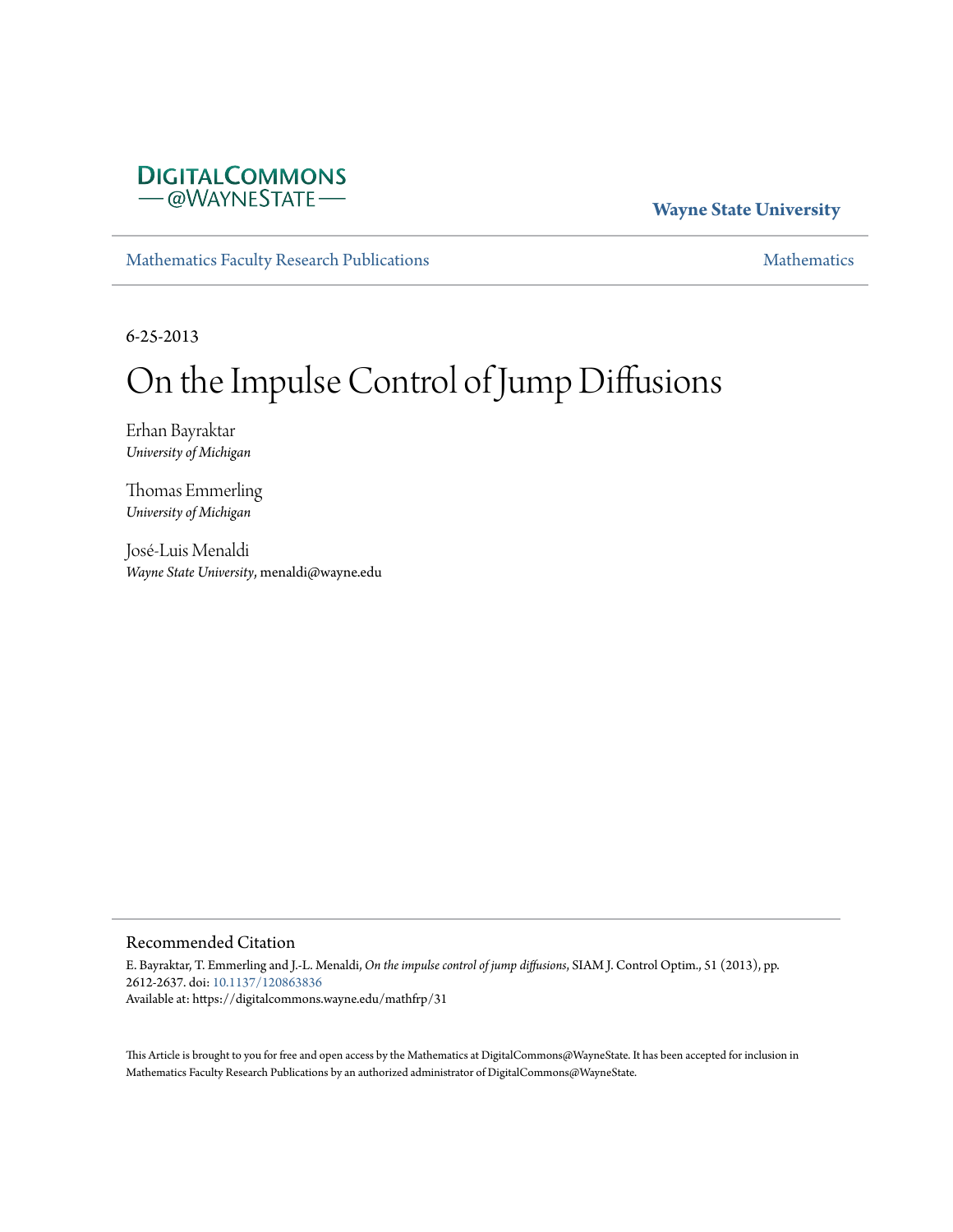# **DIGITALCOMMONS** - @WAYNESTATE-

# **Wayne State University**

[Mathematics Faculty Research Publications](https://digitalcommons.wayne.edu/mathfrp) [Mathematics](https://digitalcommons.wayne.edu/math) Mathematics

6-25-2013

# On the Impulse Control of Jump Diffusions

Erhan Bayraktar *University of Michigan*

Thomas Emmerling *University of Michigan*

José-Luis Menaldi *Wayne State University*, menaldi@wayne.edu

## Recommended Citation

E. Bayraktar, T. Emmerling and J.-L. Menaldi, *On the impulse control of jump diffusions*, SIAM J. Control Optim., 51 (2013), pp. 2612-2637. doi: [10.1137/120863836](https://dx.doi.org/10.1137/120863836) Available at: https://digitalcommons.wayne.edu/mathfrp/31

This Article is brought to you for free and open access by the Mathematics at DigitalCommons@WayneState. It has been accepted for inclusion in Mathematics Faculty Research Publications by an authorized administrator of DigitalCommons@WayneState.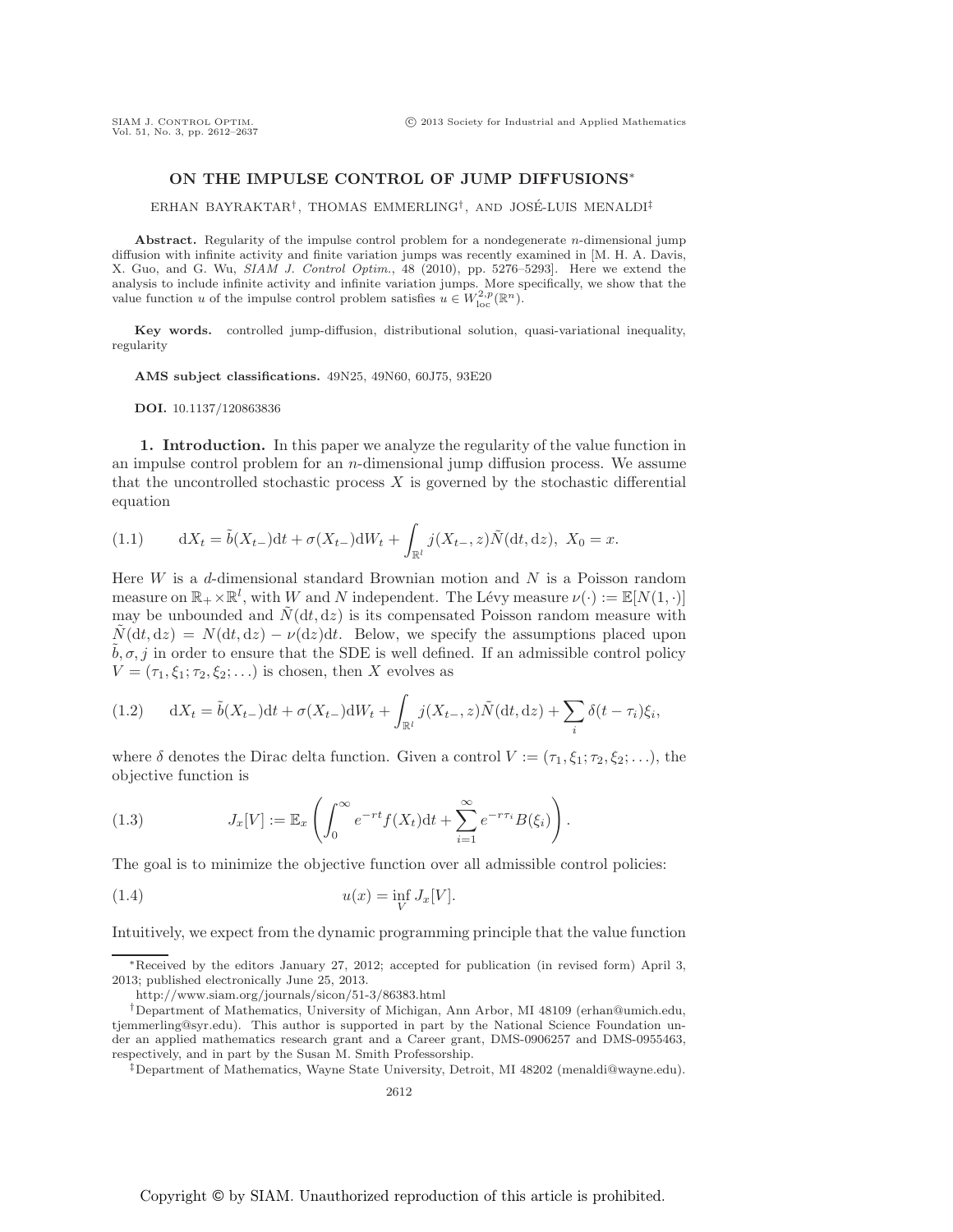## **ON THE IMPULSE CONTROL OF JUMP DIFFUSIONS**<sup>∗</sup>

ERHAN BAYRAKTAR<sup>†</sup>, THOMAS EMMERLING<sup>†</sup>, AND JOSÉ-LUIS MENALDI<sup>‡</sup>

**Abstract.** Regularity of the impulse control problem for a nondegenerate *n*-dimensional jump diffusion with infinite activity and finite variation jumps was recently examined in [M. H. A. Davis, X. Guo, and G. Wu, SIAM J. Control Optim., 48 (2010), pp. 5276–5293]. Here we extend the analysis to include infinite activity and infinite variation jumps. More specifically, we show that the value function *u* of the impulse control problem satisfies  $u \in W^{2,p}_{loc}(\mathbb{R}^n)$ .

**Key words.** controlled jump-diffusion, distributional solution, quasi-variational inequality, regularity

**AMS subject classifications.** 49N25, 49N60, 60J75, 93E20

**DOI.** 10.1137/120863836

**1. Introduction.** In this paper we analyze the regularity of the value function in an impulse control problem for an  $n$ -dimensional jump diffusion process. We assume that the uncontrolled stochastic process  $X$  is governed by the stochastic differential equation

(1.1) 
$$
dX_t = \tilde{b}(X_{t-})dt + \sigma(X_{t-})dW_t + \int_{\mathbb{R}^l} j(X_{t-}, z)\tilde{N}(dt, dz), X_0 = x.
$$

Here  $W$  is a d-dimensional standard Brownian motion and  $N$  is a Poisson random measure on  $\mathbb{R}_+ \times \mathbb{R}^l$ , with W and N independent. The Lévy measure  $\nu(\cdot) := \mathbb{E}[N(1, \cdot)]$ may be unbounded and  $\tilde{N}(dt, dz)$  is its compensated Poisson random measure with  $\tilde{N}(\mathrm{d}t, \mathrm{d}z) = N(\mathrm{d}t, \mathrm{d}z) - \nu(\mathrm{d}z)\mathrm{d}t$ . Below, we specify the assumptions placed upon  $\tilde{b}, \sigma, j$  in order to ensure that the SDE is well defined. If an admissible control policy  $V = (\tau_1, \xi_1; \tau_2, \xi_2; \ldots)$  is chosen, then X evolves as

(1.2) 
$$
dX_t = \tilde{b}(X_{t-})dt + \sigma(X_{t-})dW_t + \int_{\mathbb{R}^l} j(X_{t-}, z)\tilde{N}(dt, dz) + \sum_i \delta(t - \tau_i)\xi_i,
$$

where  $\delta$  denotes the Dirac delta function. Given a control  $V := (\tau_1, \xi_1; \tau_2, \xi_2; \ldots)$ , the objective function is

(1.3) 
$$
J_x[V] := \mathbb{E}_x \left( \int_0^\infty e^{-rt} f(X_t) dt + \sum_{i=1}^\infty e^{-r\tau_i} B(\xi_i) \right).
$$

The goal is to minimize the objective function over all admissible control policies:

$$
(1.4) \t\t u(x) = \inf_{V} J_x[V].
$$

Intuitively, we expect from the dynamic programming principle that the value function

<sup>∗</sup>Received by the editors January 27, 2012; accepted for publication (in revised form) April 3, 2013; published electronically June 25, 2013.

http://www.siam.org/journals/sicon/51-3/86383.html

<sup>†</sup>Department of Mathematics, University of Michigan, Ann Arbor, MI 48109 (erhan@umich.edu, tjemmerling@syr.edu). This author is supported in part by the National Science Foundation under an applied mathematics research grant and a Career grant, DMS-0906257 and DMS-0955463, respectively, and in part by the Susan M. Smith Professorship.

<sup>‡</sup>Department of Mathematics, Wayne State University, Detroit, MI 48202 (menaldi@wayne.edu).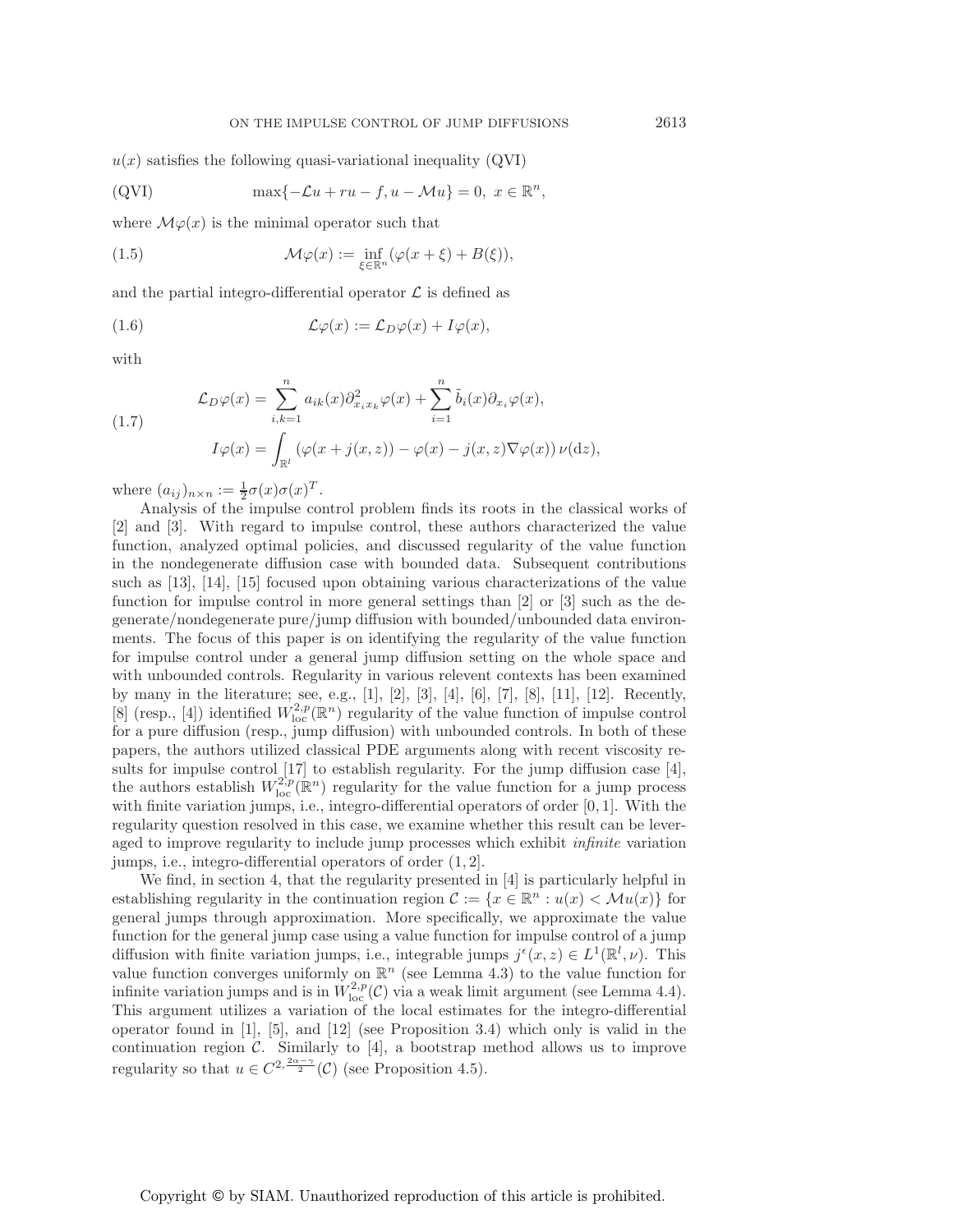$u(x)$  satisfies the following quasi-variational inequality (QVI)

(QVI) 
$$
\max\{-\mathcal{L}u + ru - f, u - \mathcal{M}u\} = 0, \ x \in \mathbb{R}^n,
$$

where  $\mathcal{M}\varphi(x)$  is the minimal operator such that

(1.5) 
$$
\mathcal{M}\varphi(x) := \inf_{\xi \in \mathbb{R}^n} (\varphi(x + \xi) + B(\xi)),
$$

and the partial integro-differential operator  $\mathcal L$  is defined as

(1.6) 
$$
\mathcal{L}\varphi(x) := \mathcal{L}_D\varphi(x) + I\varphi(x),
$$

with

(1.7) 
$$
\mathcal{L}_D \varphi(x) = \sum_{i,k=1}^n a_{ik}(x) \partial_{x_i x_k}^2 \varphi(x) + \sum_{i=1}^n \tilde{b}_i(x) \partial_{x_i} \varphi(x),
$$

$$
I \varphi(x) = \int_{\mathbb{R}^l} \left( \varphi(x + j(x, z)) - \varphi(x) - j(x, z) \nabla \varphi(x) \right) \nu(\mathrm{d}z),
$$

where  $(a_{ij})_{n \times n} := \frac{1}{2}\sigma(x)\sigma(x)^T$ .

Analysis of the impulse control problem finds its roots in the classical works of [2] and [3]. With regard to impulse control, these authors characterized the value function, analyzed optimal policies, and discussed regularity of the value function in the nondegenerate diffusion case with bounded data. Subsequent contributions such as [13], [14], [15] focused upon obtaining various characterizations of the value function for impulse control in more general settings than [2] or [3] such as the degenerate/nondegenerate pure/jump diffusion with bounded/unbounded data environments. The focus of this paper is on identifying the regularity of the value function for impulse control under a general jump diffusion setting on the whole space and with unbounded controls. Regularity in various relevent contexts has been examined by many in the literature; see, e.g., [1], [2], [3], [4], [6], [7], [8], [11], [12]. Recently, [8] (resp., [4]) identified  $W^{2,p}_{\text{loc}}(\mathbb{R}^n)$  regularity of the value function of impulse control for a pure diffusion (resp., jump diffusion) with unbounded controls. In both of these papers, the authors utilized classical PDE arguments along with recent viscosity results for impulse control [17] to establish regularity. For the jump diffusion case [4], the authors establish  $W^{2,p}_{loc}(\mathbb{R}^n)$  regularity for the value function for a jump process with finite variation jumps, i.e., integro-differential operators of order  $[0, 1]$ . With the regularity question resolved in this case, we examine whether this result can be leveraged to improve regularity to include jump processes which exhibit *infinite* variation jumps, i.e., integro-differential operators of order (1, 2].

We find, in section 4, that the regularity presented in [4] is particularly helpful in establishing regularity in the continuation region  $\mathcal{C} := \{x \in \mathbb{R}^n : u(x) < \mathcal{M}u(x)\}\$ for general jumps through approximation. More specifically, we approximate the value function for the general jump case using a value function for impulse control of a jump diffusion with finite variation jumps, i.e., integrable jumps  $j^{\epsilon}(x, z) \in L^{1}(\mathbb{R}^{l}, \nu)$ . This value function converges uniformly on  $\mathbb{R}^n$  (see Lemma 4.3) to the value function for infinite variation jumps and is in  $W^{2,p}_{loc}(\mathcal{C})$  via a weak limit argument (see Lemma 4.4). This argument utilizes a variation of the local estimates for the integro-differential operator found in  $[1]$ ,  $[5]$ , and  $[12]$  (see Proposition 3.4) which only is valid in the continuation region  $\mathcal{C}$ . Similarly to [4], a bootstrap method allows us to improve regularity so that  $u \in C^{2, \frac{2\alpha-\gamma}{2}}(\mathcal{C})$  (see Proposition 4.5).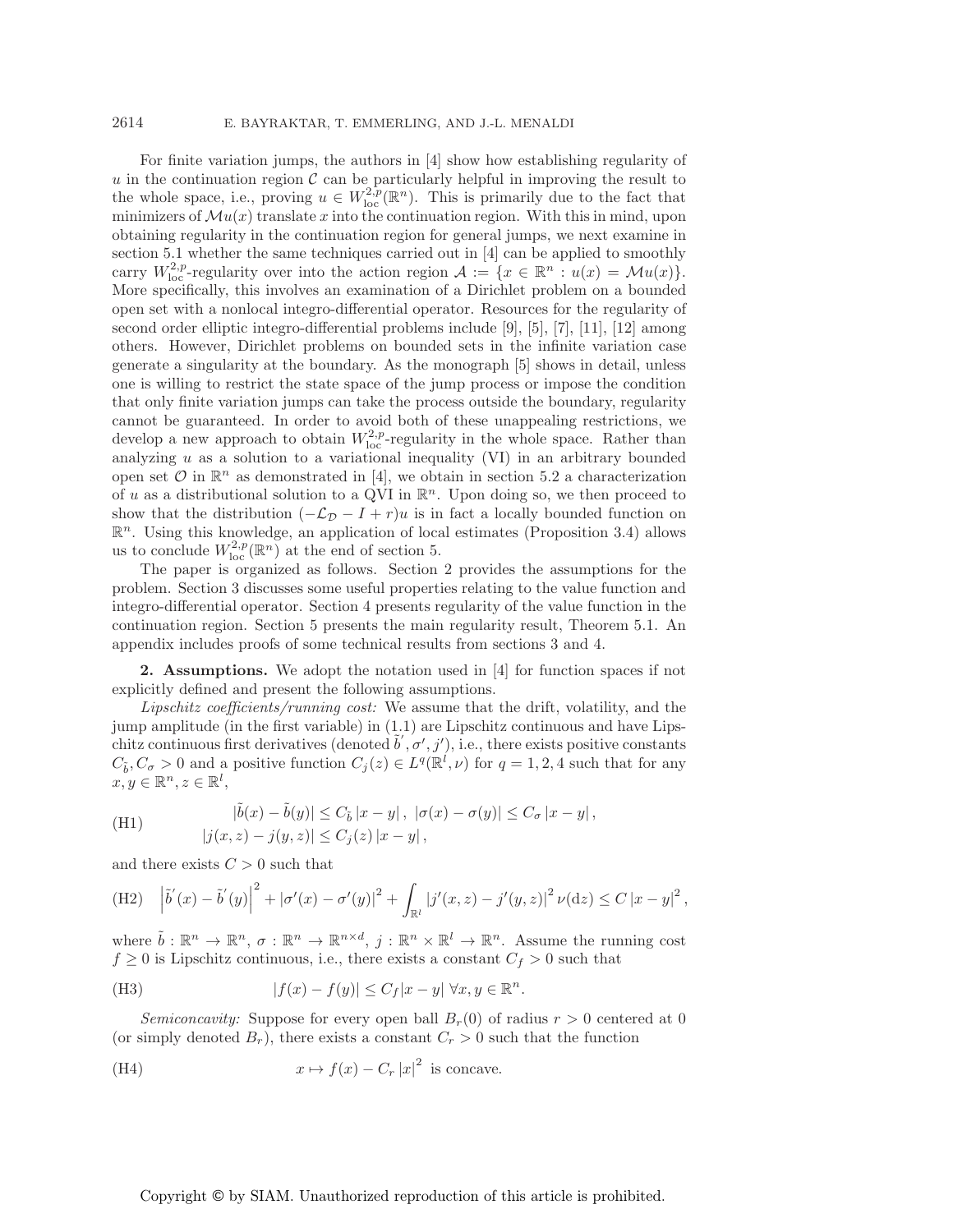For finite variation jumps, the authors in [4] show how establishing regularity of u in the continuation region  $\mathcal C$  can be particularly helpful in improving the result to the whole space, i.e., proving  $u \in W^{2,p}_{loc}(\mathbb{R}^n)$ . This is primarily due to the fact that minimizers of  $\mathcal{M}(x)$  translate x into the continuation region. With this in mind, upon obtaining regularity in the continuation region for general jumps, we next examine in section 5.1 whether the same techniques carried out in [4] can be applied to smoothly carry  $W_{\text{loc}}^{2,p}$ -regularity over into the action region  $\mathcal{A} := \{x \in \mathbb{R}^n : u(x) = \mathcal{M}u(x)\}.$ More specifically, this involves an examination of a Dirichlet problem on a bounded open set with a nonlocal integro-differential operator. Resources for the regularity of second order elliptic integro-differential problems include [9], [5], [7], [11], [12] among others. However, Dirichlet problems on bounded sets in the infinite variation case generate a singularity at the boundary. As the monograph [5] shows in detail, unless one is willing to restrict the state space of the jump process or impose the condition that only finite variation jumps can take the process outside the boundary, regularity cannot be guaranteed. In order to avoid both of these unappealing restrictions, we develop a new approach to obtain  $W^{2,p}_{loc}$ -regularity in the whole space. Rather than analyzing  $u$  as a solution to a variational inequality (VI) in an arbitrary bounded open set  $\mathcal O$  in  $\mathbb R^n$  as demonstrated in [4], we obtain in section 5.2 a characterization of u as a distributional solution to a QVI in  $\mathbb{R}^n$ . Upon doing so, we then proceed to show that the distribution  $(-\mathcal{L}_D - I + r)u$  is in fact a locally bounded function on  $\mathbb{R}^n$ . Using this knowledge, an application of local estimates (Proposition 3.4) allows us to conclude  $W^{2,p}_{loc}(\mathbb{R}^n)$  at the end of section 5.

The paper is organized as follows. Section 2 provides the assumptions for the problem. Section 3 discusses some useful properties relating to the value function and integro-differential operator. Section 4 presents regularity of the value function in the continuation region. Section 5 presents the main regularity result, Theorem 5.1. An appendix includes proofs of some technical results from sections 3 and 4.

**2. Assumptions.** We adopt the notation used in [4] for function spaces if not explicitly defined and present the following assumptions.

*Lipschitz coefficients/running cost:* We assume that the drift, volatility, and the jump amplitude (in the first variable) in (1.1) are Lipschitz continuous and have Lipschitz continuous first derivatives (denoted  $\tilde{b}', \sigma', j'$ ), i.e., there exists positive constants  $C_{\tilde{b}}, C_{\sigma} > 0$  and a positive function  $C_j(z) \in L^q(\mathbb{R}^l, \nu)$  for  $q = 1, 2, 4$  such that for any  $x, y \in \mathbb{R}^n, z \in \mathbb{R}^l$ ,

(H1) 
$$
|\tilde{b}(x) - \tilde{b}(y)| \le C_{\tilde{b}} |x - y|, |\sigma(x) - \sigma(y)| \le C_{\sigma} |x - y|,
$$

$$
|j(x, z) - j(y, z)| \le C_{j}(z) |x - y|,
$$

and there exists  $C > 0$  such that

(H2) 
$$
\left|\tilde{b}'(x) - \tilde{b}'(y)\right|^2 + |\sigma'(x) - \sigma'(y)|^2 + \int_{\mathbb{R}^l} |j'(x, z) - j'(y, z)|^2 \nu(\mathrm{d}z) \le C |x - y|^2,
$$

where  $\tilde{b} : \mathbb{R}^n \to \mathbb{R}^n$ ,  $\sigma : \mathbb{R}^n \to \mathbb{R}^{n \times d}$ ,  $j : \mathbb{R}^n \times \mathbb{R}^l \to \mathbb{R}^n$ . Assume the running cost  $f \geq 0$  is Lipschitz continuous, i.e., there exists a constant  $C_f > 0$  such that

(H3) 
$$
|f(x) - f(y)| \le C_f |x - y| \,\forall x, y \in \mathbb{R}^n.
$$

*Semiconcavity:* Suppose for every open ball  $B_r(0)$  of radius  $r > 0$  centered at 0 (or simply denoted  $B_r$ ), there exists a constant  $C_r > 0$  such that the function

(H4) 
$$
x \mapsto f(x) - C_r |x|^2
$$
 is concave.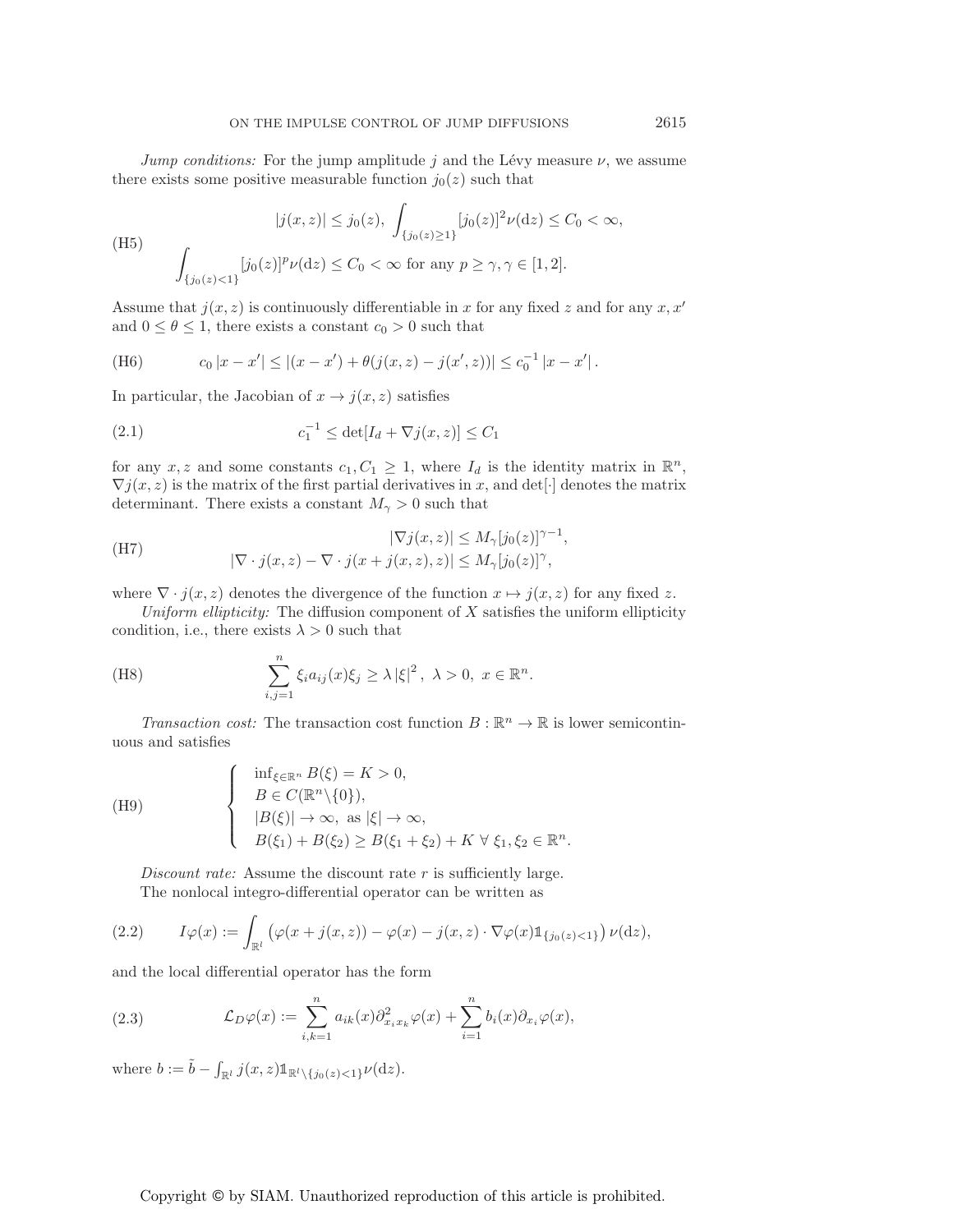*Jump conditions:* For the jump amplitude  $j$  and the Lévy measure  $\nu$ , we assume there exists some positive measurable function  $j_0(z)$  such that

(H5)  
\n
$$
|j(x,z)| \le j_0(z), \int_{\{j_0(z)\ge 1\}} [j_0(z)]^2 \nu(\mathrm{d}z) \le C_0 < \infty,
$$
\n
$$
\int_{\{j_0(z)<1\}} [j_0(z)]^p \nu(\mathrm{d}z) \le C_0 < \infty \text{ for any } p \ge \gamma, \gamma \in [1,2].
$$

Assume that  $j(x, z)$  is continuously differentiable in x for any fixed z and for any  $x, x'$ and  $0 \le \theta \le 1$ , there exists a constant  $c_0 > 0$  such that

(H6) 
$$
c_0 |x - x'| \le |(x - x') + \theta(j(x, z) - j(x', z))| \le c_0^{-1} |x - x'|.
$$

In particular, the Jacobian of  $x \to j(x, z)$  satisfies

(2.1) 
$$
c_1^{-1} \leq \det[I_d + \nabla j(x, z)] \leq C_1
$$

for any x, z and some constants  $c_1, C_1 \geq 1$ , where  $I_d$  is the identity matrix in  $\mathbb{R}^n$ ,  $\nabla j(x, z)$  is the matrix of the first partial derivatives in x, and det[·] denotes the matrix determinant. There exists a constant  $M_{\gamma} > 0$  such that

(H7)  
\n
$$
|\nabla j(x, z)| \le M_{\gamma}[j_0(z)]^{\gamma - 1},
$$
\n
$$
|\nabla \cdot j(x, z) - \nabla \cdot j(x + j(x, z), z)| \le M_{\gamma}[j_0(z)]^{\gamma},
$$

where  $\nabla \cdot j(x, z)$  denotes the divergence of the function  $x \mapsto j(x, z)$  for any fixed z.

*Uniform ellipticity:* The diffusion component of X satisfies the uniform ellipticity condition, i.e., there exists  $\lambda > 0$  such that

(H8) 
$$
\sum_{i,j=1}^n \xi_i a_{ij}(x) \xi_j \geq \lambda |\xi|^2, \ \lambda > 0, \ x \in \mathbb{R}^n.
$$

*Transaction cost:* The transaction cost function  $B : \mathbb{R}^n \to \mathbb{R}$  is lower semicontinuous and satisfies

(H9)  
\n
$$
\begin{cases}\n\inf_{\xi \in \mathbb{R}^n} B(\xi) = K > 0, \\
B \in C(\mathbb{R}^n \setminus \{0\}), \\
|B(\xi)| \to \infty, \text{ as } |\xi| \to \infty, \\
B(\xi_1) + B(\xi_2) \ge B(\xi_1 + \xi_2) + K \ \forall \ \xi_1, \xi_2 \in \mathbb{R}^n.\n\end{cases}
$$

*Discount rate:* Assume the discount rate r is sufficiently large. The nonlocal integro-differential operator can be written as

(2.2) 
$$
I\varphi(x) := \int_{\mathbb{R}^l} \left( \varphi(x + j(x, z)) - \varphi(x) - j(x, z) \cdot \nabla \varphi(x) \mathbb{1}_{\{j_0(z) < 1\}} \right) \nu(\mathrm{d}z),
$$

and the local differential operator has the form

(2.3) 
$$
\mathcal{L}_D \varphi(x) := \sum_{i,k=1}^n a_{ik}(x) \partial_{x_i x_k}^2 \varphi(x) + \sum_{i=1}^n b_i(x) \partial_{x_i} \varphi(x),
$$

where  $b := \tilde{b} - \int_{\mathbb{R}^l} j(x, z) \mathbb{1}_{\mathbb{R}^l \setminus \{j_0(z) < 1\}} \nu(\mathrm{d}z).$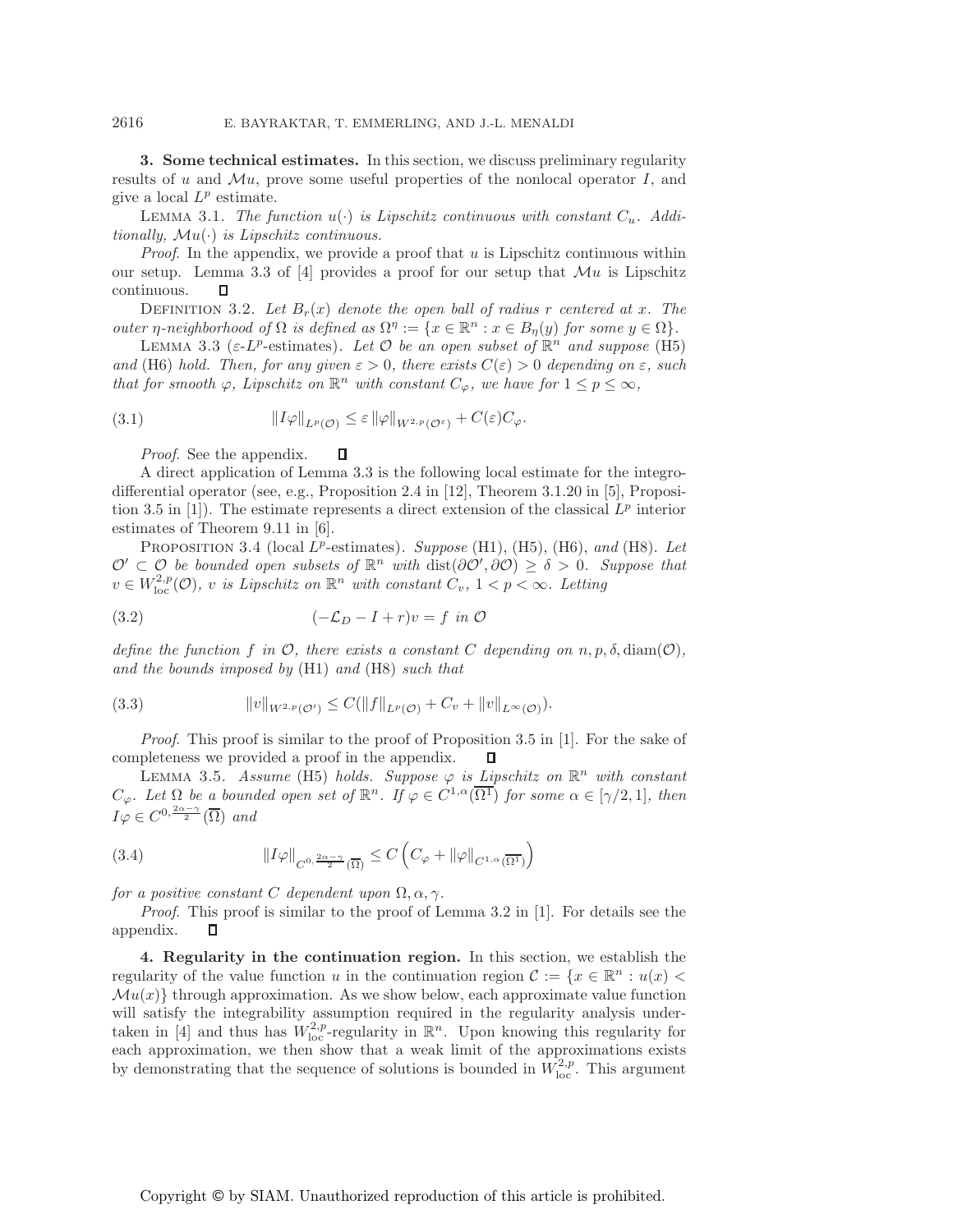**3. Some technical estimates.** In this section, we discuss preliminary regularity results of u and  $\mathcal{M}u$ , prove some useful properties of the nonlocal operator I, and give a local  $L^p$  estimate.

LEMMA 3.1. The function  $u(\cdot)$  is Lipschitz continuous with constant  $C_u$ . Addi*tionally,* Mu(·) *is Lipschitz continuous.*

*Proof.* In the appendix, we provide a proof that u is Lipschitz continuous within our setup. Lemma 3.3 of [4] provides a proof for our setup that  $\mathcal{M}u$  is Lipschitz continuous. п

DEFINITION 3.2. Let  $B_r(x)$  denote the open ball of radius r centered at x. The *outer*  $\eta$ -neighborhood of  $\Omega$  *is defined as*  $\Omega^{\eta} := \{x \in \mathbb{R}^n : x \in B_{\eta}(y) \text{ for some } y \in \Omega\}.$ 

LEMMA 3.3 ( $\varepsilon$ -L<sup>p</sup>-estimates). Let  $\mathcal O$  be an open subset of  $\mathbb R^n$  and suppose (H5) *and* (H6) *hold. Then, for any given*  $\varepsilon > 0$ *, there exists*  $C(\varepsilon) > 0$  *depending on*  $\varepsilon$ *, such that for smooth*  $\varphi$ *, Lipschitz on*  $\mathbb{R}^n$  *with constant*  $C_{\varphi}$ *, we have for*  $1 \leq p \leq \infty$ *,* 

(3.1) 
$$
||I\varphi||_{L^p(\mathcal{O})} \leq \varepsilon ||\varphi||_{W^{2,p}(\mathcal{O}^\varepsilon)} + C(\varepsilon)C_{\varphi}.
$$

 $\Box$ *Proof*. See the appendix.

A direct application of Lemma 3.3 is the following local estimate for the integrodifferential operator (see, e.g., Proposition 2.4 in [12], Theorem 3.1.20 in [5], Proposition 3.5 in [1]). The estimate represents a direct extension of the classical  $L^p$  interior estimates of Theorem 9.11 in [6].

PROPOSITION 3.4 (local L<sup>p</sup>-estimates). *Suppose* (H1), (H5), (H6), and (H8). Let  $\mathcal{O}' \subset \mathcal{O}$  be bounded open subsets of  $\mathbb{R}^n$  with  $dist(\partial \mathcal{O}', \partial \mathcal{O}) \geq \delta > 0$ . Suppose that  $v \in W^{2,p}_{loc}(\mathcal{O})$ , v is Lipschitz on  $\mathbb{R}^n$  with constant  $C_v$ ,  $1 < p < \infty$ . Letting

$$
(3.2) \qquad \qquad (-\mathcal{L}_D - I + r)v = f \text{ in } \mathcal{O}
$$

*define the function* f in  $\mathcal{O}$ , there exists a constant C depending on  $n, p, \delta$ , diam( $\mathcal{O}$ ), *and the bounds imposed by* (H1) *and* (H8) *such that*

(3.3) 
$$
||v||_{W^{2,p}(\mathcal{O}')} \leq C(||f||_{L^p(\mathcal{O})} + C_v + ||v||_{L^{\infty}(\mathcal{O})}).
$$

*Proof*. This proof is similar to the proof of Proposition 3.5 in [1]. For the sake of completeness we provided a proof in the appendix. Л

LEMMA 3.5. *Assume* (H5) *holds. Suppose*  $\varphi$  *is Lipschitz on*  $\mathbb{R}^n$  *with constant*  $C_{\varphi}$ *. Let*  $\Omega$  *be a bounded open set of*  $\mathbb{R}^n$ *. If*  $\varphi \in C^{1,\alpha}(\overline{\Omega^1})$  *for some*  $\alpha \in [\gamma/2,1]$ *, then*  $I\varphi \in C^{0, \frac{2\alpha - \gamma}{2}}(\overline{\Omega})$  *and* 

(3.4) 
$$
\|I\varphi\|_{C^{0,\frac{2\alpha-\gamma}{2}}(\overline{\Omega})} \leq C\left(C_{\varphi} + \|\varphi\|_{C^{1,\alpha}(\overline{\Omega^1})}\right)
$$

*for a positive constant* C *dependent upon*  $\Omega$ ,  $\alpha$ ,  $\gamma$ .

*Proof*. This proof is similar to the proof of Lemma 3.2 in [1]. For details see the appendix.  $\Box$ 

**4. Regularity in the continuation region.** In this section, we establish the regularity of the value function u in the continuation region  $\mathcal{C} := \{x \in \mathbb{R}^n : u(x)$  $\mathcal{M}u(x)$  through approximation. As we show below, each approximate value function will satisfy the integrability assumption required in the regularity analysis undertaken in [4] and thus has  $W_{\text{loc}}^{2,p}$ -regularity in  $\mathbb{R}^n$ . Upon knowing this regularity for each approximation, we then show that a weak limit of the approximations exists by demonstrating that the sequence of solutions is bounded in  $W^{2,p}_{\text{loc}}$ . This argument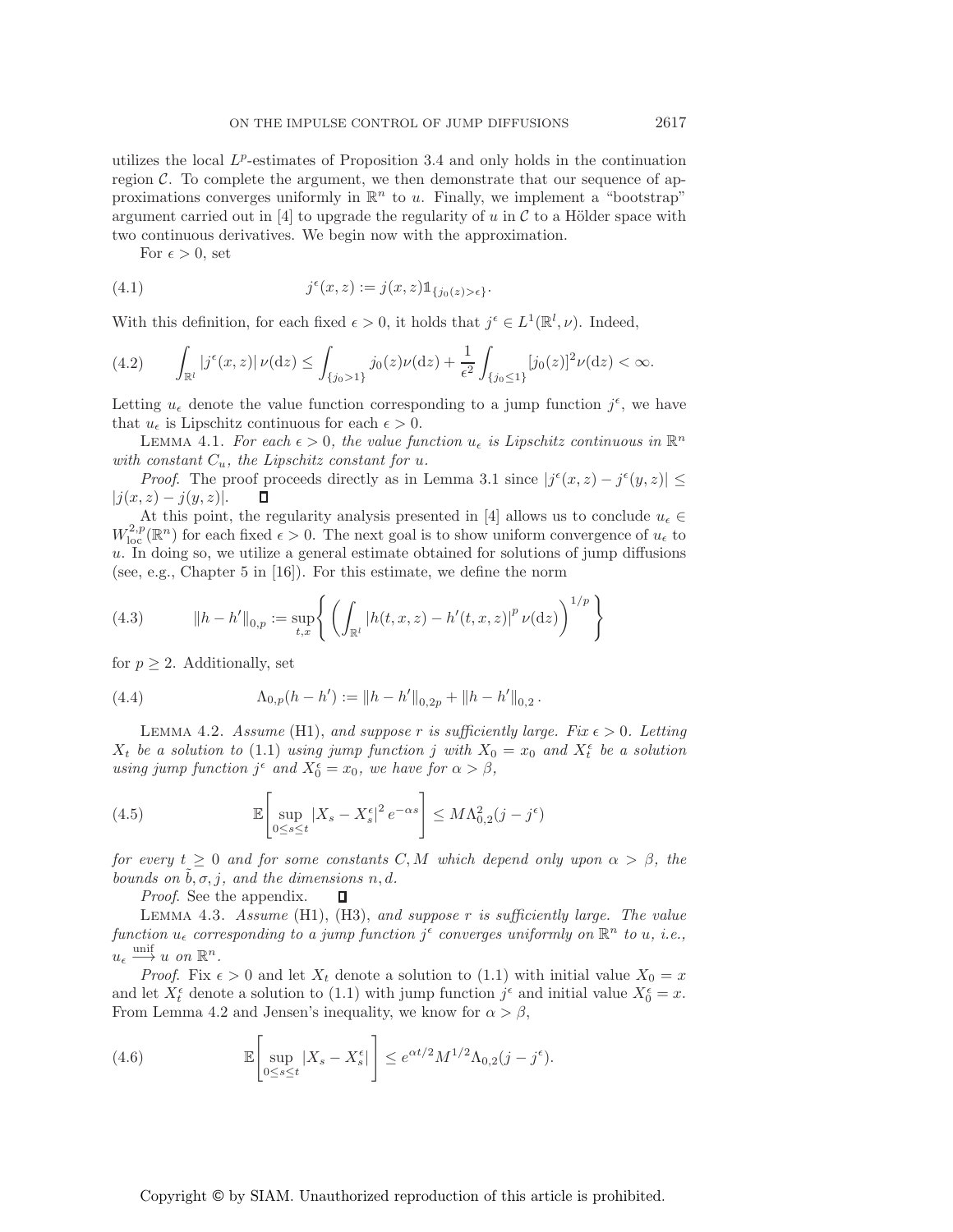For  $\epsilon > 0$ , set

(4.1) 
$$
j^{\epsilon}(x, z) := j(x, z) \mathbb{1}_{\{j_0(z) > \epsilon\}}.
$$

With this definition, for each fixed  $\epsilon > 0$ , it holds that  $j^{\epsilon} \in L^1(\mathbb{R}^l, \nu)$ . Indeed,

$$
(4.2) \qquad \int_{\mathbb{R}^l} |j^{\epsilon}(x,z)| \, \nu(\mathrm{d}z) \le \int_{\{j_0 > 1\}} j_0(z) \nu(\mathrm{d}z) + \frac{1}{\epsilon^2} \int_{\{j_0 \le 1\}} [j_0(z)]^2 \nu(\mathrm{d}z) < \infty.
$$

Letting  $u_{\epsilon}$  denote the value function corresponding to a jump function  $j^{\epsilon}$ , we have that  $u_{\epsilon}$  is Lipschitz continuous for each  $\epsilon > 0$ .

LEMMA 4.1. *For each*  $\epsilon > 0$ , the value function  $u_{\epsilon}$  is Lipschitz continuous in  $\mathbb{R}^n$ *with constant*  $C_u$ *, the Lipschitz constant for u.* 

*Proof.* The proof proceeds directly as in Lemma 3.1 since  $|j^{\epsilon}(x, z) - j^{\epsilon}(y, z)| \le$  $|j(x, z) - j(y, z)|$ . П

At this point, the regularity analysis presented in [4] allows us to conclude  $u_{\epsilon} \in$  $W^{2,p}_{loc}(\mathbb{R}^n)$  for each fixed  $\epsilon > 0$ . The next goal is to show uniform convergence of  $u_{\epsilon}$  to u. In doing so, we utilize a general estimate obtained for solutions of jump diffusions (see, e.g., Chapter 5 in [16]). For this estimate, we define the norm

(4.3) 
$$
||h - h'||_{0,p} := \sup_{t,x} \left\{ \left( \int_{\mathbb{R}^l} |h(t,x,z) - h'(t,x,z)|^p \nu(\mathrm{d}z) \right)^{1/p} \right\}
$$

for  $p \geq 2$ . Additionally, set

(4.4) 
$$
\Lambda_{0,p}(h-h') := ||h-h'||_{0,2p} + ||h-h'||_{0,2}.
$$

LEMMA 4.2. *Assume* (H1), and suppose r is sufficiently large. Fix  $\epsilon > 0$ . Letting  $X_t$  be a solution to (1.1) using jump function j with  $X_0 = x_0$  and  $X_t^{\epsilon}$  be a solution *using jump function*  $j^{\epsilon}$  *and*  $X_0^{\epsilon} = x_0$ *, we have for*  $\alpha > \beta$ *,* 

(4.5) 
$$
\mathbb{E}\left[\sup_{0\leq s\leq t}|X_s-X_s^{\epsilon}|^2 e^{-\alpha s}\right] \leq M\Lambda_{0,2}^2(j-j^{\epsilon})
$$

*for every*  $t \geq 0$  *and for some constants* C, M *which depend only upon*  $\alpha > \beta$ *, the bounds* on  $b, \sigma, j$ *, and the dimensions*  $n, d$ *.* 

*Proof*. See the appendix. П

Lemma 4.3. *Assume* (H1), (H3), *and suppose* r *is sufficiently large. The value function*  $u_{\epsilon}$  *corresponding to a jump function*  $j^{\epsilon}$  *converges uniformly on*  $\mathbb{R}^{n}$  *to*  $u$ *, i.e.,*  $u_{\epsilon} \stackrel{\text{unif}}{\longrightarrow} u$  on  $\mathbb{R}^n$ .

*Proof.* Fix  $\epsilon > 0$  and let  $X_t$  denote a solution to (1.1) with initial value  $X_0 = x$ and let  $X_t^{\epsilon}$  denote a solution to (1.1) with jump function  $j^{\epsilon}$  and initial value  $X_0^{\epsilon} = x$ . From Lemma 4.2 and Jensen's inequality, we know for  $\alpha > \beta$ ,

(4.6) 
$$
\mathbb{E}\left[\sup_{0\leq s\leq t}|X_s-X_s^{\epsilon}|\right]\leq e^{\alpha t/2}M^{1/2}\Lambda_{0,2}(j-j^{\epsilon}).
$$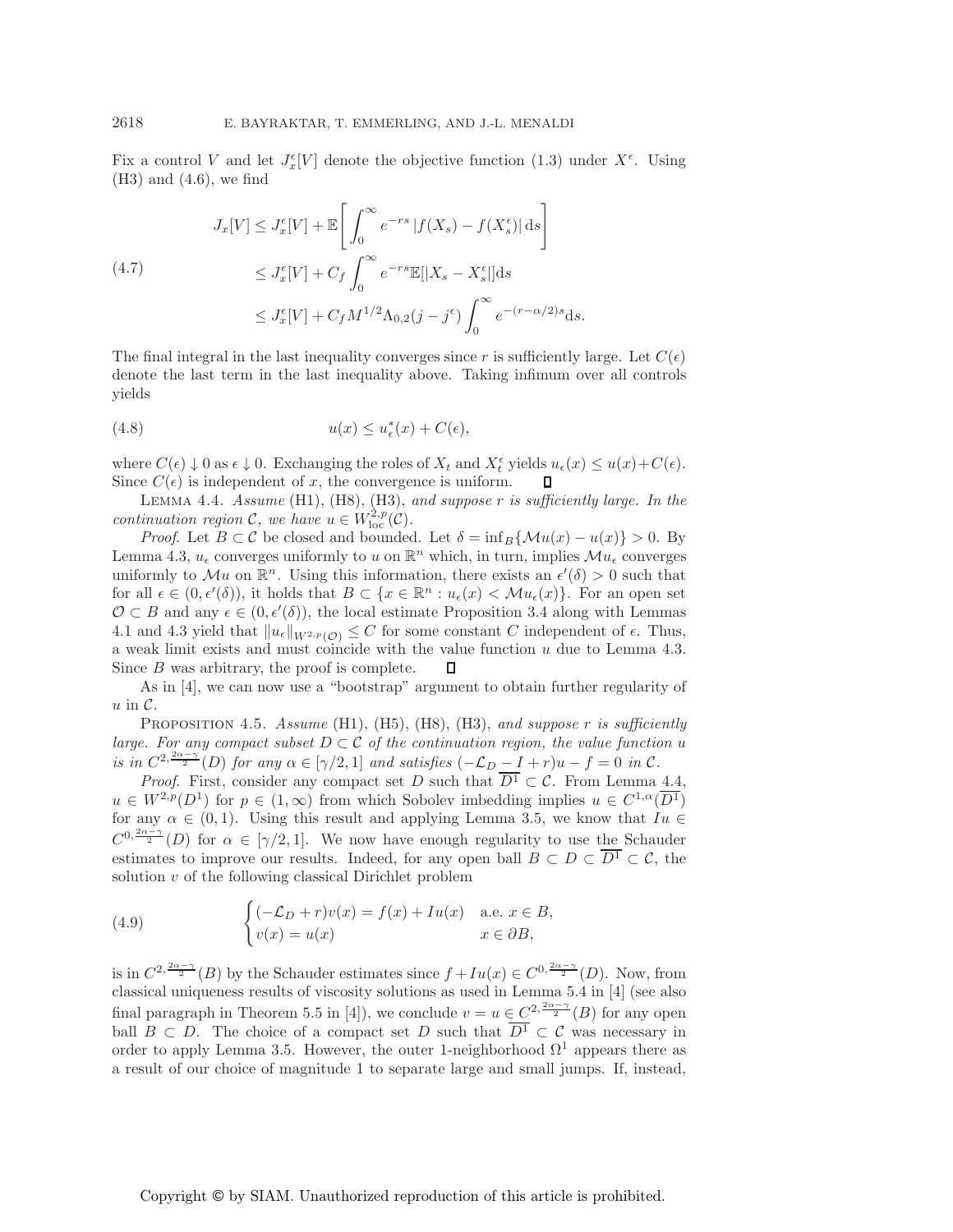Fix a control V and let  $J_x^{\epsilon}[V]$  denote the objective function (1.3) under  $X^{\epsilon}$ . Using  $(H3)$  and  $(4.6)$ , we find

$$
J_x[V] \le J_x^{\epsilon}[V] + \mathbb{E}\left[\int_0^{\infty} e^{-rs} |f(X_s) - f(X_s^{\epsilon})| ds\right]
$$
  
\n
$$
\le J_x^{\epsilon}[V] + C_f \int_0^{\infty} e^{-rs} \mathbb{E}[|X_s - X_s^{\epsilon}|] ds
$$
  
\n
$$
\le J_x^{\epsilon}[V] + C_f M^{1/2} \Lambda_{0,2}(j - j^{\epsilon}) \int_0^{\infty} e^{-(r - \alpha/2)s} ds.
$$

The final integral in the last inequality converges since r is sufficiently large. Let  $C(\epsilon)$ denote the last term in the last inequality above. Taking infimum over all controls yields

$$
(4.8) \t\t u(x) \le u_{\epsilon}^*(x) + C(\epsilon),
$$

where  $C(\epsilon) \downarrow 0$  as  $\epsilon \downarrow 0$ . Exchanging the roles of  $X_t$  and  $X_t^{\epsilon}$  yields  $u_{\epsilon}(x) \leq u(x) + C(\epsilon)$ . Since  $C(\epsilon)$  is independent of x, the convergence is uniform.  $\Box$ 

Lemma 4.4. *Assume* (H1), (H8), (H3), *and suppose* r *is sufficiently large. In the continuation region* C, we have  $u \in W^{2,p}_{loc}(\mathcal{C})$ .

*Proof.* Let  $B \subset \mathcal{C}$  be closed and bounded. Let  $\delta = \inf_{B} \{ \mathcal{M}u(x) - u(x) \} > 0$ . By Lemma 4.3,  $u_{\epsilon}$  converges uniformly to u on  $\mathbb{R}^n$  which, in turn, implies  $\mathcal{M}u_{\epsilon}$  converges uniformly to Mu on  $\mathbb{R}^n$ . Using this information, there exists an  $\epsilon'(\delta) > 0$  such that for all  $\epsilon \in (0, \epsilon'(\delta))$ , it holds that  $B \subset \{x \in \mathbb{R}^n : u_{\epsilon}(x) < \mathcal{M}u_{\epsilon}(x)\}\)$ . For an open set  $\mathcal{O} \subset B$  and any  $\epsilon \in (0, \epsilon'(\delta))$ , the local estimate Proposition 3.4 along with Lemmas 4.1 and 4.3 yield that  $||u_{\epsilon}||_{W^{2,p}(\mathcal{O})} \leq C$  for some constant C independent of  $\epsilon$ . Thus, a weak limit exists and must coincide with the value function u due to Lemma 4.3. Since B was arbitrary, the proof is complete. Л

As in [4], we can now use a "bootstrap" argument to obtain further regularity of  $u$  in  $\mathcal{C}$ .

Proposition 4.5. *Assume* (H1), (H5), (H8), (H3), *and suppose* r *is sufficiently large. For any compact subset*  $D \subset \mathcal{C}$  *of the continuation region, the value function* u *is in*  $C^{2, \frac{2\alpha - \gamma}{2}}(D)$  *for any*  $\alpha \in [\gamma/2, 1]$  *and satisfies*  $(-\mathcal{L}_D - I + r)u - f = 0$  *in*  $\mathcal{C}$ *.* 

*Proof.* First, consider any compact set D such that  $\overline{D^1} \subset C$ . From Lemma 4.4,  $u \in W^{2,p}(D^1)$  for  $p \in (1,\infty)$  from which Sobolev imbedding implies  $u \in C^{1,\alpha}(\overline{D^1})$ for any  $\alpha \in (0,1)$ . Using this result and applying Lemma 3.5, we know that  $I_u \in$  $C^{0,\frac{2\alpha-\gamma}{2}}(D)$  for  $\alpha \in [\gamma/2,1]$ . We now have enough regularity to use the Schauder estimates to improve our results. Indeed, for any open ball  $B \subset D \subset \overline{D^1} \subset \mathcal{C}$ , the solution  $v$  of the following classical Dirichlet problem

(4.9) 
$$
\begin{cases} (-\mathcal{L}_D + r)v(x) = f(x) + Iu(x) & \text{a.e. } x \in B, \\ v(x) = u(x) & x \in \partial B, \end{cases}
$$

is in  $C^{2, \frac{2\alpha-\gamma}{2}}(B)$  by the Schauder estimates since  $f+Iu(x) \in C^{0, \frac{2\alpha-\gamma}{2}}(D)$ . Now, from classical uniqueness results of viscosity solutions as used in Lemma 5.4 in [4] (see also final paragraph in Theorem 5.5 in [4]), we conclude  $v = u \in C^{2, \frac{2\alpha - \gamma}{2}}(B)$  for any open ball  $B \subset D$ . The choice of a compact set D such that  $\overline{D^1} \subset C$  was necessary in order to apply Lemma 3.5. However, the outer 1-neighborhood  $\Omega^1$  appears there as a result of our choice of magnitude 1 to separate large and small jumps. If, instead,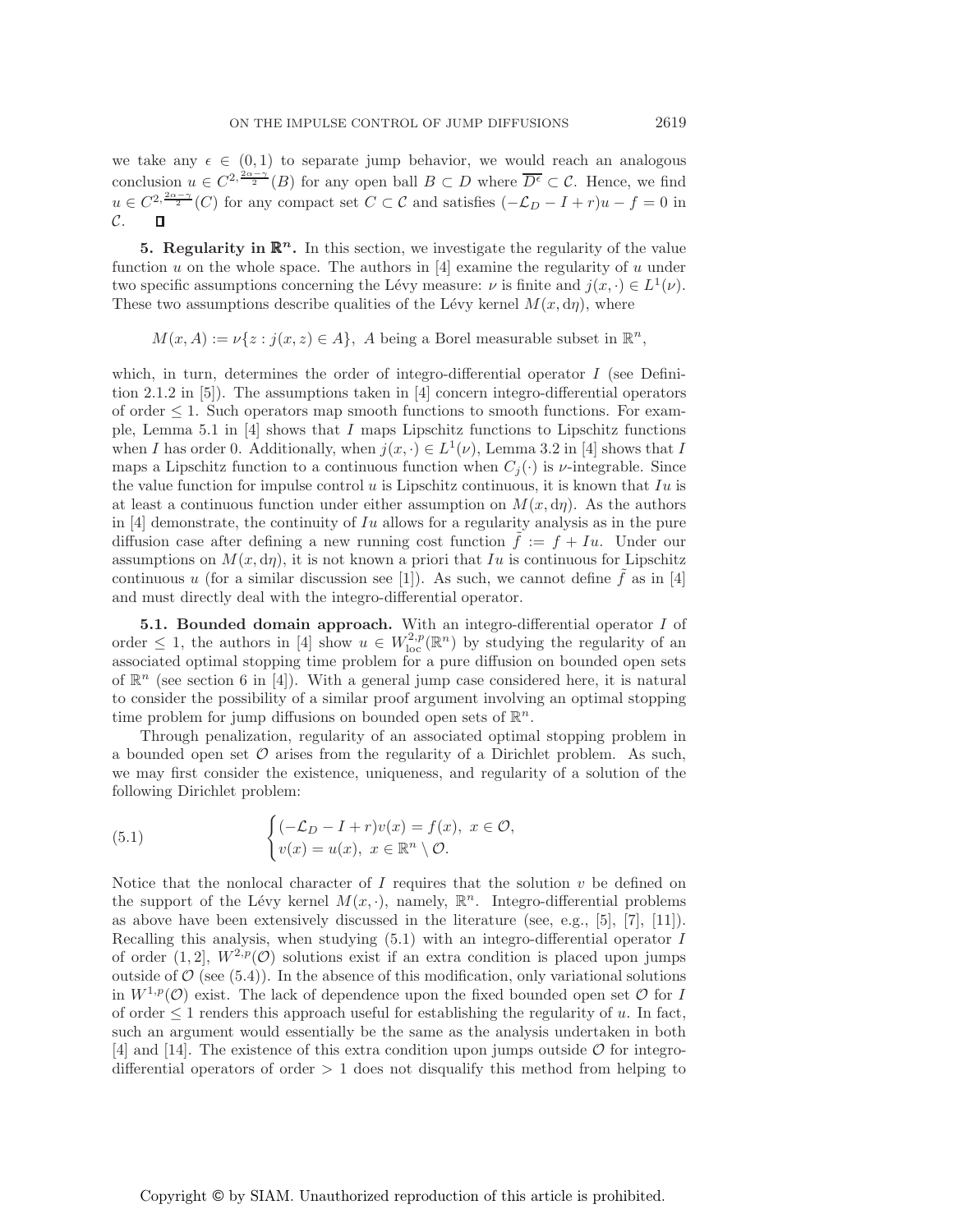we take any  $\epsilon \in (0,1)$  to separate jump behavior, we would reach an analogous conclusion  $u \in C^{2, \frac{2\alpha-\gamma}{2}}(B)$  for any open ball  $B \subset D$  where  $\overline{D^{\epsilon}} \subset \mathcal{C}$ . Hence, we find  $u \in C^{2, \frac{2\alpha-\gamma}{2}}(C)$  for any compact set  $C \subset \mathcal{C}$  and satisfies  $(-\mathcal{L}_D - I + r)u - f = 0$  in  $\mathcal{C}.$  $\Box$ 

**5. Regularity in**  $\mathbb{R}^n$ **.** In this section, we investigate the regularity of the value function u on the whole space. The authors in  $[4]$  examine the regularity of u under two specific assumptions concerning the Lévy measure:  $\nu$  is finite and  $j(x, \cdot) \in L^{1}(\nu)$ . These two assumptions describe qualities of the Lévy kernel  $M(x, d\eta)$ , where

 $M(x, A) := \nu\{z : j(x, z) \in A\},\ A \text{ being a Borel measurable subset in } \mathbb{R}^n,$ 

which, in turn, determines the order of integro-differential operator  $I$  (see Definition 2.1.2 in [5]). The assumptions taken in [4] concern integro-differential operators of order  $\leq 1$ . Such operators map smooth functions to smooth functions. For example, Lemma 5.1 in  $[4]$  shows that I maps Lipschitz functions to Lipschitz functions when I has order 0. Additionally, when  $j(x, \cdot) \in L^1(\nu)$ , Lemma 3.2 in [4] shows that I maps a Lipschitz function to a continuous function when  $C_j(\cdot)$  is  $\nu$ -integrable. Since the value function for impulse control  $u$  is Lipschitz continuous, it is known that  $Iu$  is at least a continuous function under either assumption on  $M(x, d\eta)$ . As the authors in  $[4]$  demonstrate, the continuity of Iu allows for a regularity analysis as in the pure diffusion case after defining a new running cost function  $\tilde{f} := f + Iu$ . Under our assumptions on  $M(x, d\eta)$ , it is not known a priori that Iu is continuous for Lipschitz continuous u (for a similar discussion see [1]). As such, we cannot define f as in [4] and must directly deal with the integro-differential operator.

**5.1. Bounded domain approach.** With an integro-differential operator I of order  $\leq 1$ , the authors in [4] show  $u \in W^{2,p}_{loc}(\mathbb{R}^n)$  by studying the regularity of an associated optimal stopping time problem for a pure diffusion on bounded open sets of  $\mathbb{R}^n$  (see section 6 in [4]). With a general jump case considered here, it is natural to consider the possibility of a similar proof argument involving an optimal stopping time problem for jump diffusions on bounded open sets of  $\mathbb{R}^n$ .

Through penalization, regularity of an associated optimal stopping problem in a bounded open set  $\mathcal O$  arises from the regularity of a Dirichlet problem. As such, we may first consider the existence, uniqueness, and regularity of a solution of the following Dirichlet problem:

(5.1) 
$$
\begin{cases} (-\mathcal{L}_D - I + r)v(x) = f(x), & x \in \mathcal{O}, \\ v(x) = u(x), & x \in \mathbb{R}^n \setminus \mathcal{O}. \end{cases}
$$

Notice that the nonlocal character of I requires that the solution  $v$  be defined on the support of the Lévy kernel  $M(x, \cdot)$ , namely,  $\mathbb{R}^n$ . Integro-differential problems as above have been extensively discussed in the literature (see, e.g., [5], [7], [11]). Recalling this analysis, when studying (5.1) with an integro-differential operator I of order  $(1, 2]$ ,  $W^{2,p}(\mathcal{O})$  solutions exist if an extra condition is placed upon jumps outside of  $\mathcal{O}$  (see (5.4)). In the absence of this modification, only variational solutions in  $W^{1,p}(\mathcal{O})$  exist. The lack of dependence upon the fixed bounded open set  $\mathcal O$  for I of order  $\leq 1$  renders this approach useful for establishing the regularity of u. In fact, such an argument would essentially be the same as the analysis undertaken in both [4] and [14]. The existence of this extra condition upon jumps outside  $\mathcal O$  for integrodifferential operators of order  $> 1$  does not disqualify this method from helping to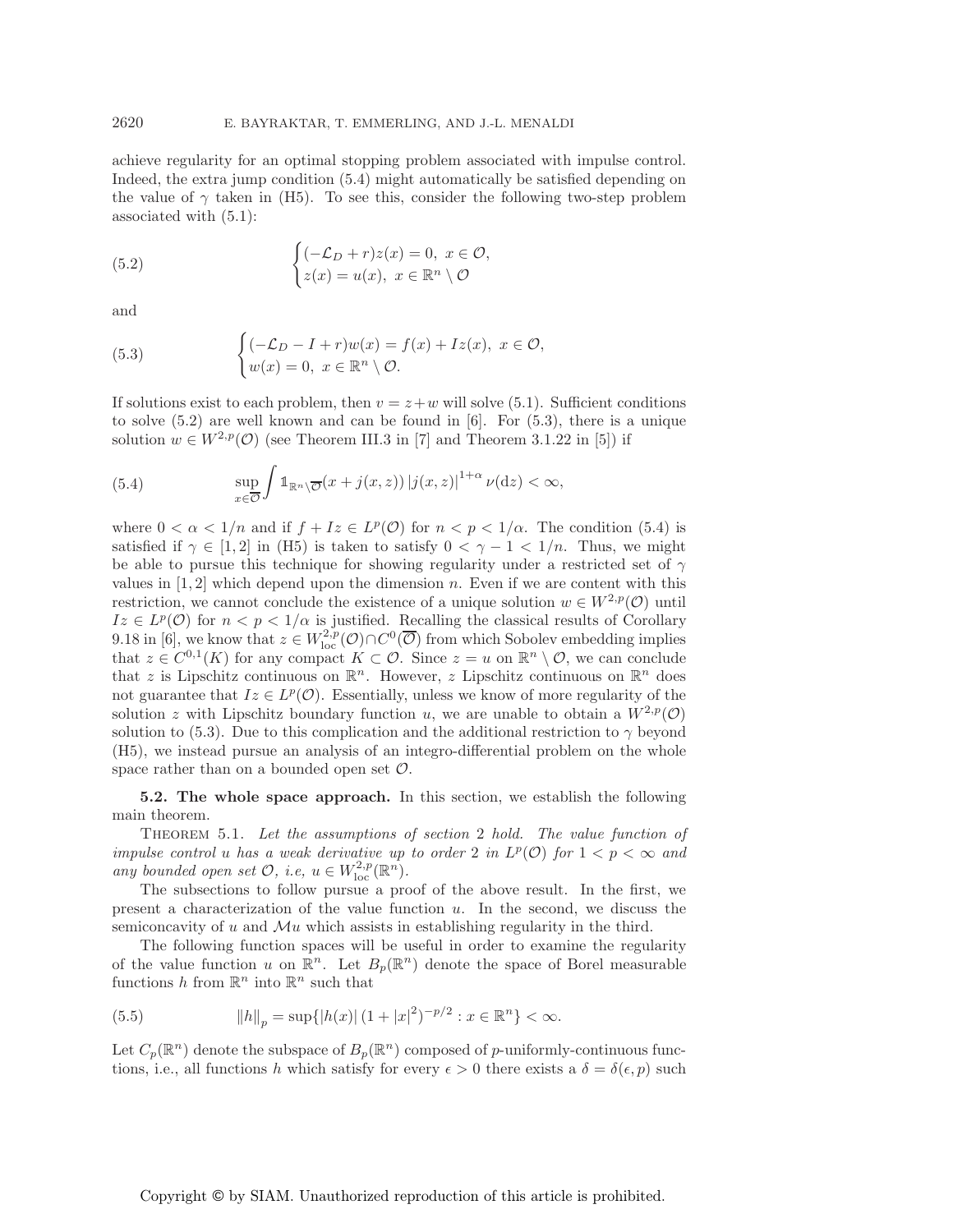achieve regularity for an optimal stopping problem associated with impulse control. Indeed, the extra jump condition (5.4) might automatically be satisfied depending on the value of  $\gamma$  taken in (H5). To see this, consider the following two-step problem associated with (5.1):

(5.2) 
$$
\begin{cases} (-\mathcal{L}_D + r)z(x) = 0, \ x \in \mathcal{O}, \\ z(x) = u(x), \ x \in \mathbb{R}^n \setminus \mathcal{O} \end{cases}
$$

and

(5.3) 
$$
\begin{cases} (-\mathcal{L}_D - I + r)w(x) = f(x) + Iz(x), & x \in \mathcal{O}, \\ w(x) = 0, & x \in \mathbb{R}^n \setminus \mathcal{O}. \end{cases}
$$

If solutions exist to each problem, then  $v = z + w$  will solve (5.1). Sufficient conditions to solve (5.2) are well known and can be found in [6]. For (5.3), there is a unique solution  $w \in W^{2,p}(\mathcal{O})$  (see Theorem III.3 in [7] and Theorem 3.1.22 in [5]) if

(5.4) 
$$
\sup_{x \in \overline{\mathcal{O}}} \int \mathbb{1}_{\mathbb{R}^n \setminus \overline{\mathcal{O}}}(x+j(x,z)) |j(x,z)|^{1+\alpha} \nu(\mathrm{d}z) < \infty,
$$

where  $0 < \alpha < 1/n$  and if  $f + Iz \in L^p(\mathcal{O})$  for  $n < p < 1/\alpha$ . The condition (5.4) is satisfied if  $\gamma \in [1, 2]$  in (H5) is taken to satisfy  $0 < \gamma - 1 < 1/n$ . Thus, we might be able to pursue this technique for showing regularity under a restricted set of  $\gamma$ values in  $[1, 2]$  which depend upon the dimension n. Even if we are content with this restriction, we cannot conclude the existence of a unique solution  $w \in W^{2,p}(\mathcal{O})$  until  $Iz \in L^p(\mathcal{O})$  for  $n < p < 1/\alpha$  is justified. Recalling the classical results of Corollary 9.18 in [6], we know that  $z \in W^{2,p}_{loc}(\mathcal{O}) \cap C^0(\overline{\mathcal{O}})$  from which Sobolev embedding implies that  $z \in C^{0,1}(K)$  for any compact  $K \subset \mathcal{O}$ . Since  $z = u$  on  $\mathbb{R}^n \setminus \mathcal{O}$ , we can conclude that z is Lipschitz continuous on  $\mathbb{R}^n$ . However, z Lipschitz continuous on  $\mathbb{R}^n$  does not guarantee that  $Iz \in L^p(\mathcal{O})$ . Essentially, unless we know of more regularity of the solution z with Lipschitz boundary function u, we are unable to obtain a  $W^{2,p}(\mathcal{O})$ solution to (5.3). Due to this complication and the additional restriction to  $\gamma$  beyond (H5), we instead pursue an analysis of an integro-differential problem on the whole space rather than on a bounded open set  $\mathcal{O}$ .

**5.2. The whole space approach.** In this section, we establish the following main theorem.

Theorem 5.1. *Let the assumptions of section* 2 *hold. The value function of impulse control u has a weak derivative up to order* 2 *in*  $L^p(\mathcal{O})$  *for*  $1 < p < \infty$  *and any bounded open set*  $O$ *, i.e,*  $u \in W^{2,p}_{loc}(\mathbb{R}^n)$ *.* 

The subsections to follow pursue a proof of the above result. In the first, we present a characterization of the value function  $u$ . In the second, we discuss the semiconcavity of u and  $\mathcal{M}u$  which assists in establishing regularity in the third.

The following function spaces will be useful in order to examine the regularity of the value function u on  $\mathbb{R}^n$ . Let  $B_p(\mathbb{R}^n)$  denote the space of Borel measurable functions h from  $\mathbb{R}^n$  into  $\mathbb{R}^n$  such that

(5.5) 
$$
||h||_p = \sup\{|h(x)| (1+|x|^2)^{-p/2} : x \in \mathbb{R}^n\} < \infty.
$$

Let  $C_p(\mathbb{R}^n)$  denote the subspace of  $B_p(\mathbb{R}^n)$  composed of p-uniformly-continuous functions, i.e., all functions h which satisfy for every  $\epsilon > 0$  there exists a  $\delta = \delta(\epsilon, p)$  such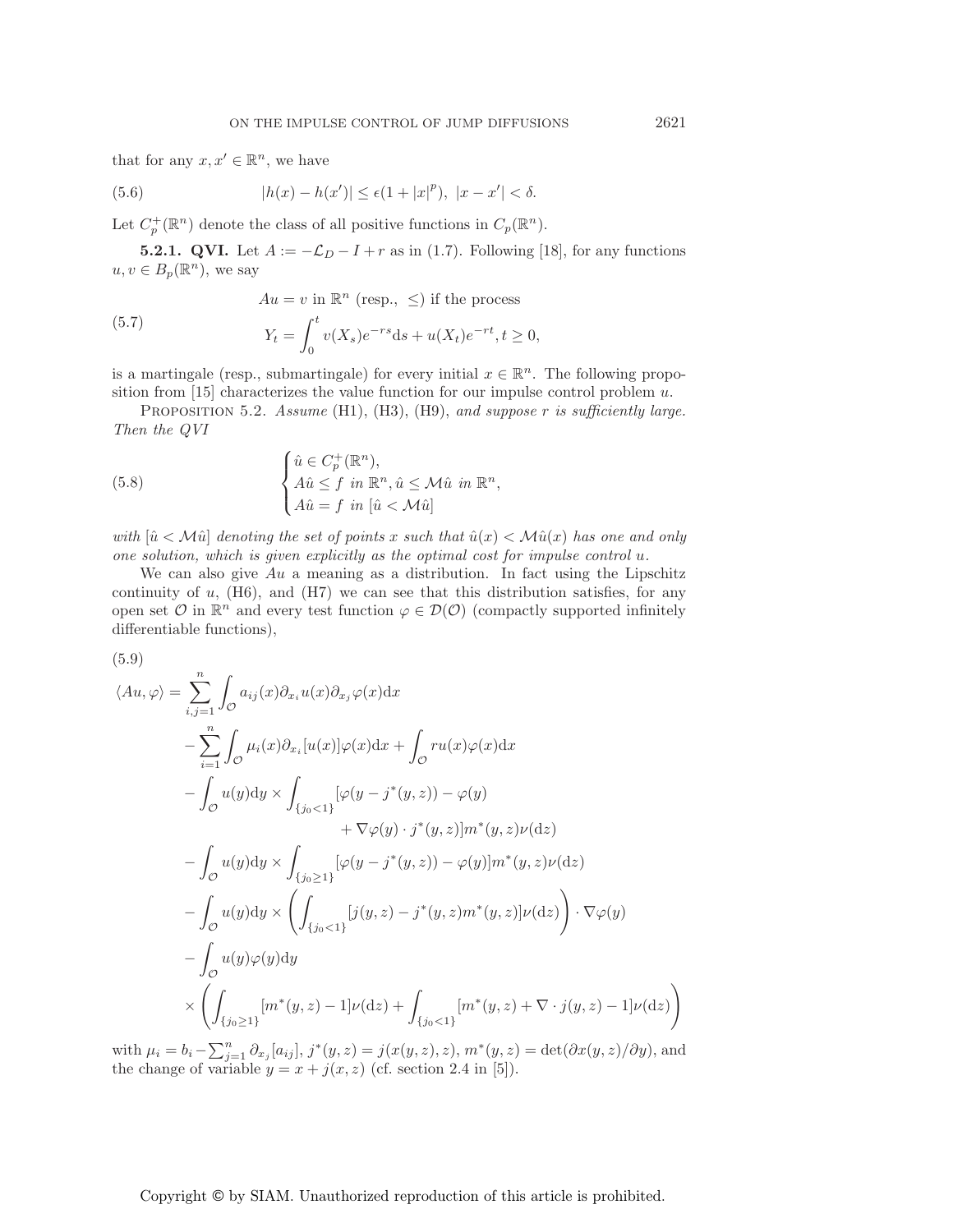that for any  $x, x' \in \mathbb{R}^n$ , we have

(5.6) 
$$
|h(x) - h(x')| \le \epsilon (1 + |x|^p), \ |x - x'| < \delta.
$$

Let  $C_p^+(\mathbb{R}^n)$  denote the class of all positive functions in  $C_p(\mathbb{R}^n)$ .

**5.2.1. QVI.** Let  $A := -\mathcal{L}_D - I + r$  as in (1.7). Following [18], for any functions  $u, v \in B_n(\mathbb{R}^n)$ , we say

(5.7) 
$$
Au = v \text{ in } \mathbb{R}^n \text{ (resp., } \leq \text{) if the process}
$$

$$
Y_t = \int_0^t v(X_s)e^{-rs}ds + u(X_t)e^{-rt}, t \geq 0,
$$

is a martingale (resp., submartingale) for every initial  $x \in \mathbb{R}^n$ . The following proposition from  $[15]$  characterizes the value function for our impulse control problem u.

Proposition 5.2. *Assume* (H1), (H3), (H9), *and suppose* r *is sufficiently large. Then the QVI*

(5.8) 
$$
\begin{cases} \hat{u} \in C_p^+(\mathbb{R}^n), \\ A\hat{u} \leq f \text{ in } \mathbb{R}^n, \hat{u} \leq \mathcal{M}\hat{u} \text{ in } \mathbb{R}^n, \\ A\hat{u} = f \text{ in } [\hat{u} < \mathcal{M}\hat{u}] \end{cases}
$$

*with*  $[\hat{u} \times \hat{M}\hat{u}]$  *denoting the set of points* x *such that*  $\hat{u}(x) \leq \hat{M}\hat{u}(x)$  *has one and only one solution, which is given explicitly as the optimal cost for impulse control u.* 

We can also give  $Au$  a meaning as a distribution. In fact using the Lipschitz continuity of  $u$ , (H6), and (H7) we can see that this distribution satisfies, for any open set  $\mathcal O$  in  $\mathbb R^n$  and every test function  $\varphi \in \mathcal D(\mathcal O)$  (compactly supported infinitely differentiable functions),

(5.9)

$$
\langle Au, \varphi \rangle = \sum_{i,j=1}^{n} \int_{\mathcal{O}} a_{ij}(x) \partial_{x_i} u(x) \partial_{x_j} \varphi(x) dx
$$
  
\n
$$
- \sum_{i=1}^{n} \int_{\mathcal{O}} \mu_i(x) \partial_{x_i} [u(x)] \varphi(x) dx + \int_{\mathcal{O}} ru(x) \varphi(x) dx
$$
  
\n
$$
- \int_{\mathcal{O}} u(y) dy \times \int_{\{j_0 < 1\}} [\varphi(y - j^*(y, z)) - \varphi(y) + \nabla \varphi(y) \cdot j^*(y, z)] m^*(y, z) \nu(dz)
$$
  
\n
$$
- \int_{\mathcal{O}} u(y) dy \times \int_{\{j_0 \ge 1\}} [\varphi(y - j^*(y, z)) - \varphi(y)] m^*(y, z) \nu(dz)
$$
  
\n
$$
- \int_{\mathcal{O}} u(y) dy \times \left( \int_{\{j_0 < 1\}} [j(y, z) - j^*(y, z) m^*(y, z)] \nu(dz) \right) \cdot \nabla \varphi(y)
$$
  
\n
$$
- \int_{\mathcal{O}} u(y) \varphi(y) dy
$$
  
\n
$$
\times \left( \int_{\{j_0 \ge 1\}} [m^*(y, z) - 1] \nu(dz) + \int_{\{j_0 < 1\}} [m^*(y, z) + \nabla \cdot j(y, z) - 1] \nu(dz) \right)
$$

with  $\mu_i = b_i - \sum_{j=1}^n \partial_{x_j} [a_{ij}], j^*(y, z) = j(x(y, z), z), m^*(y, z) = \det(\partial x(y, z)/\partial y)$ , and the change of variable  $y = x + j(x, z)$  (cf. section 2.4 in [5]).

Copyright © by SIAM. Unauthorized reproduction of this article is prohibited.

 $\setminus$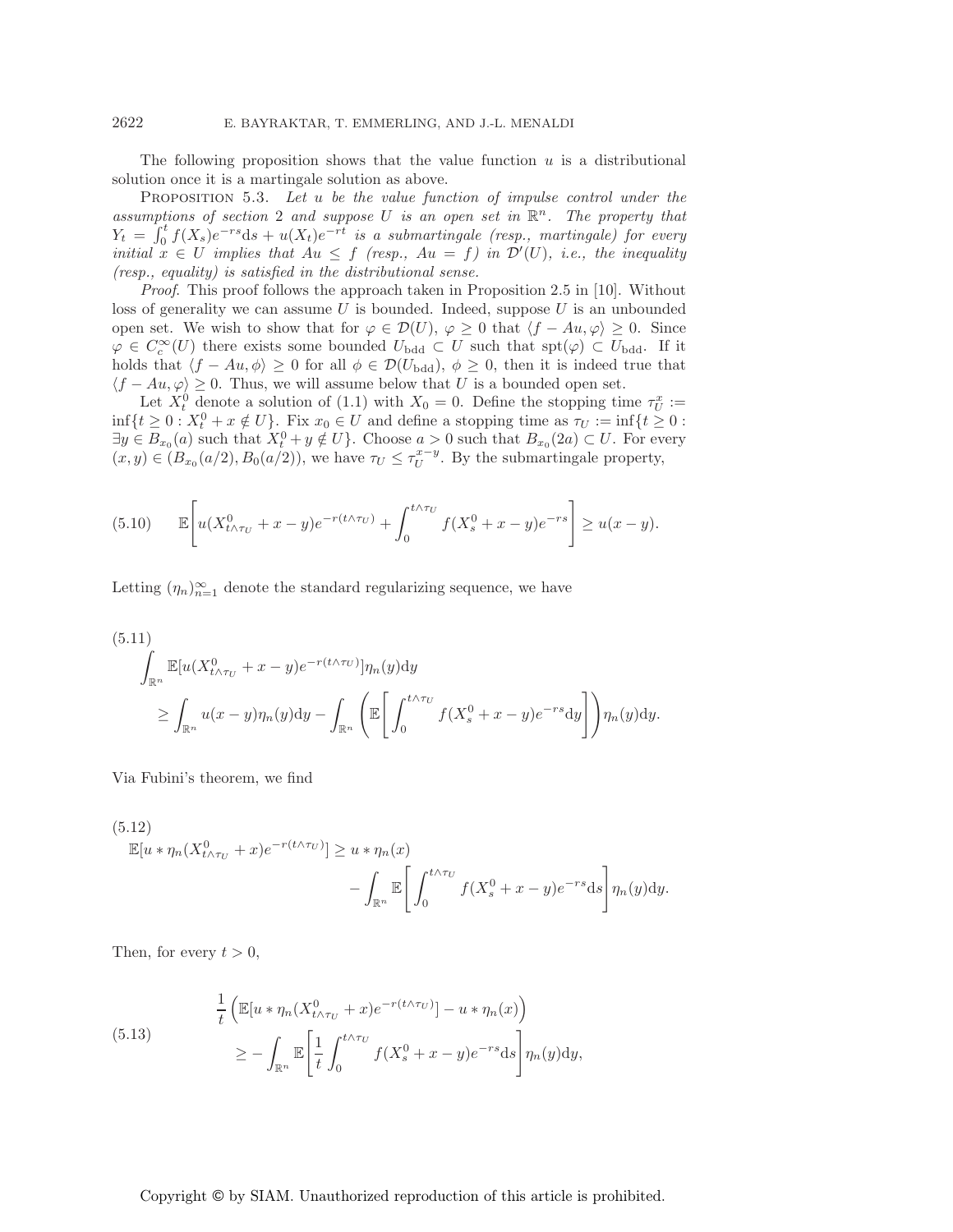The following proposition shows that the value function  $u$  is a distributional solution once it is a martingale solution as above.

Proposition 5.3. *Let* u *be the value function of impulse control under the assumptions of section* 2 *and suppose* U *is an open set in*  $\mathbb{R}^n$ . The property that  $Y_t = \int_0^t f(X_s)e^{-rs}ds + u(X_t)e^{-rt}$  *is a submartingale (resp., martingale) for every initial*  $x \in U$  *implies that*  $Au \leq f$  *(resp.,*  $Au = f$ *) in*  $\mathcal{D}'(U)$ *, i.e., the inequality (resp., equality) is satisfied in the distributional sense.*

*Proof*. This proof follows the approach taken in Proposition 2.5 in [10]. Without loss of generality we can assume  $U$  is bounded. Indeed, suppose  $U$  is an unbounded open set. We wish to show that for  $\varphi \in \mathcal{D}(U)$ ,  $\varphi \geq 0$  that  $\langle f - Au, \varphi \rangle \geq 0$ . Since  $\varphi \in C_c^{\infty}(U)$  there exists some bounded  $U_{\text{bdd}} \subset U$  such that  $\text{spt}(\varphi) \subset U_{\text{bdd}}$ . If it holds that  $\langle f - Au, \phi \rangle \ge 0$  for all  $\phi \in \mathcal{D}(U_{\text{bdd}}), \phi \ge 0$ , then it is indeed true that  $\langle f - Au, \varphi \rangle \geq 0$ . Thus, we will assume below that U is a bounded open set.

Let  $X_t^0$  denote a solution of (1.1) with  $X_0 = 0$ . Define the stopping time  $\tau_U^x :=$  $\inf\{t\geq 0: X_t^0+x\notin U\}$ . Fix  $x_0\in U$  and define a stopping time as  $\tau_U:=\inf\{t\geq 0:$  $\exists y \in B_{x_0}(a)$  such that  $X_t^0 + y \notin U$ . Choose  $a > 0$  such that  $B_{x_0}(2a) \subset U$ . For every  $(x, y) \in (B_{x_0}(a/2), B_0(a/2)),$  we have  $\tau_U \leq \tau_U^{x-y}$ . By the submartingale property,

(5.10) 
$$
\mathbb{E}\left[u(X_{t\wedge\tau_{U}}^{0}+x-y)e^{-r(t\wedge\tau_{U})}+\int_{0}^{t\wedge\tau_{U}}f(X_{s}^{0}+x-y)e^{-rs}\right]\geq u(x-y).
$$

Letting  $(\eta_n)_{n=1}^{\infty}$  denote the standard regularizing sequence, we have

(5.11)  
\n
$$
\int_{\mathbb{R}^n} \mathbb{E}[u(X_{t \wedge \tau_U}^0 + x - y)e^{-r(t \wedge \tau_U)}] \eta_n(y) dy
$$
\n
$$
\geq \int_{\mathbb{R}^n} u(x - y) \eta_n(y) dy - \int_{\mathbb{R}^n} \left( \mathbb{E}\left[\int_0^{t \wedge \tau_U} f(X_s^0 + x - y)e^{-rs} dy\right] \right) \eta_n(y) dy.
$$

Via Fubini's theorem, we find

(5.12)  
\n
$$
\mathbb{E}[u * \eta_n(X_{t \wedge \tau_U}^0 + x)e^{-r(t \wedge \tau_U)}] \ge u * \eta_n(x)
$$
\n
$$
- \int_{\mathbb{R}^n} \mathbb{E}\left[\int_0^{t \wedge \tau_U} f(X_s^0 + x - y)e^{-rs}ds\right] \eta_n(y)dy.
$$

Then, for every  $t > 0$ ,

(5.13) 
$$
\frac{1}{t} \left( \mathbb{E}[u * \eta_n(X_{t \wedge \tau_U}^0 + x) e^{-r(t \wedge \tau_U)}] - u * \eta_n(x) \right)
$$

$$
\geq - \int_{\mathbb{R}^n} \mathbb{E} \left[ \frac{1}{t} \int_0^{t \wedge \tau_U} f(X_s^0 + x - y) e^{-rs} ds \right] \eta_n(y) dy,
$$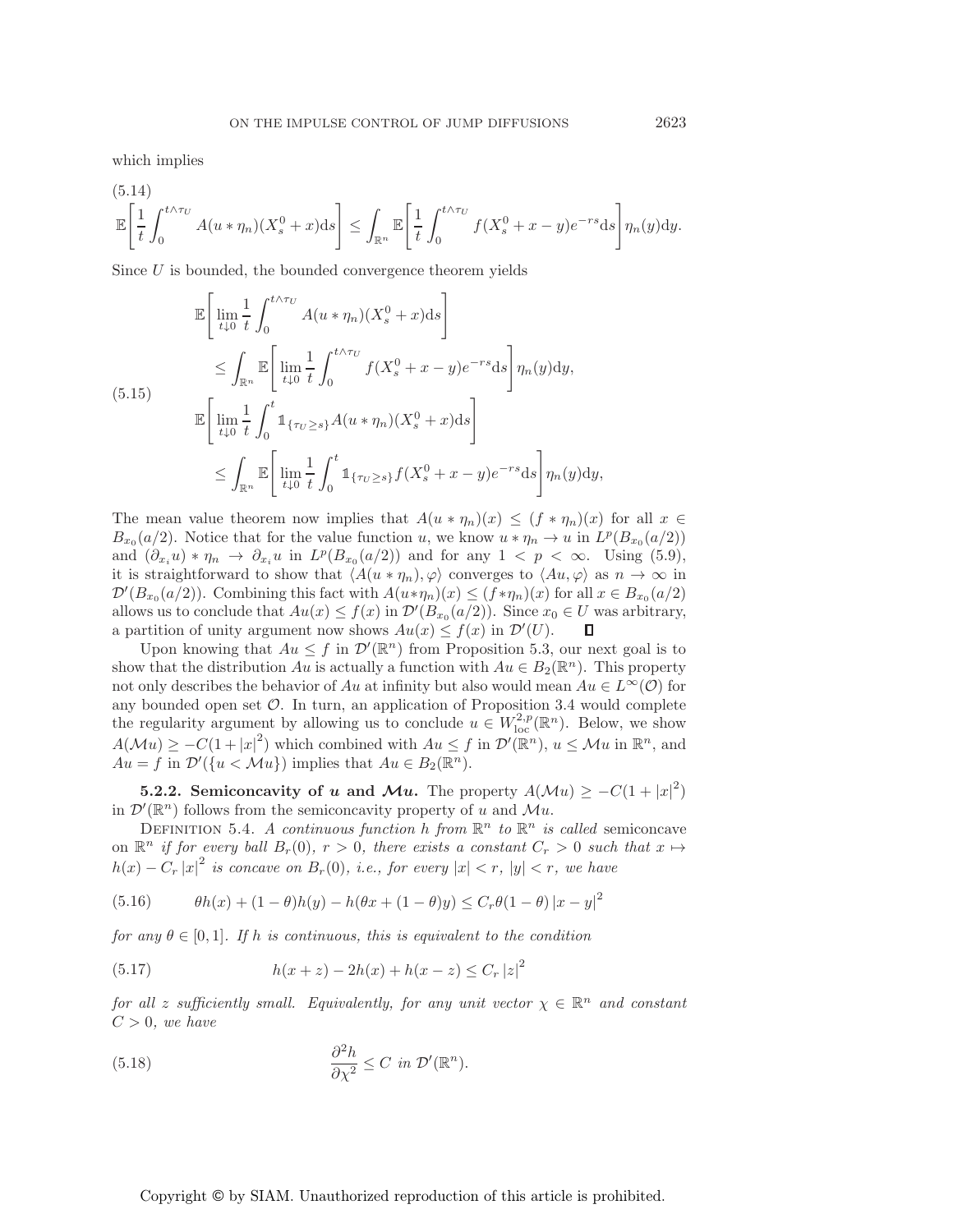which implies

$$
\mathbb{E}\left[\frac{1}{t}\int_0^{t\wedge\tau_U} A(u*\eta_n)(X_s^0+x)\mathrm{d}s\right] \leq \int_{\mathbb{R}^n} \mathbb{E}\left[\frac{1}{t}\int_0^{t\wedge\tau_U} f(X_s^0+x-y)e^{-rs}\mathrm{d}s\right]\eta_n(y)\mathrm{d}y.
$$

Since U is bounded, the bounded convergence theorem yields

$$
\mathbb{E}\left[\lim_{t\downarrow 0}\frac{1}{t}\int_{0}^{t\wedge\tau_{U}}A(u*\eta_{n})(X_{s}^{0}+x)\mathrm{d}s\right]
$$
\n
$$
\leq \int_{\mathbb{R}^{n}}\mathbb{E}\left[\lim_{t\downarrow 0}\frac{1}{t}\int_{0}^{t\wedge\tau_{U}}f(X_{s}^{0}+x-y)e^{-rs}\mathrm{d}s\right]\eta_{n}(y)\mathrm{d}y,
$$
\n(5.15)\n
$$
\mathbb{E}\left[\lim_{t\downarrow 0}\frac{1}{t}\int_{0}^{t}\mathbb{1}_{\{\tau_{U}\geq s\}}A(u*\eta_{n})(X_{s}^{0}+x)\mathrm{d}s\right]
$$
\n
$$
\leq \int_{\mathbb{R}^{n}}\mathbb{E}\left[\lim_{t\downarrow 0}\frac{1}{t}\int_{0}^{t}\mathbb{1}_{\{\tau_{U}\geq s\}}f(X_{s}^{0}+x-y)e^{-rs}\mathrm{d}s\right]\eta_{n}(y)\mathrm{d}y,
$$

The mean value theorem now implies that  $A(u * \eta_n)(x) \leq (f * \eta_n)(x)$  for all  $x \in$  $B_{x_0}(a/2)$ . Notice that for the value function u, we know  $u * \eta_n \to u$  in  $L^p(B_{x_0}(a/2))$ and  $(\partial_{x_i}u) * \eta_n \to \partial_{x_i}u$  in  $L^p(B_{x_0}(a/2))$  and for any  $1 < p < \infty$ . Using (5.9), it is straightforward to show that  $\langle A(u * \eta_n), \varphi \rangle$  converges to  $\langle Au, \varphi \rangle$  as  $n \to \infty$  in  $\mathcal{D}'(B_{x_0}(a/2))$ . Combining this fact with  $A(u*\eta_n)(x) \leq (f*\eta_n)(x)$  for all  $x \in B_{x_0}(a/2)$ . allows us to conclude that  $Au(x) \le f(x)$  in  $\mathcal{D}'(B_{x_0}(a/2))$ . Since  $x_0 \in U$  was arbitrary, a partition of unity argument now shows  $Au(x) \le f(x)$  in  $\mathcal{D}'(U)$ . П

Upon knowing that  $Au \leq f$  in  $\mathcal{D}'(\mathbb{R}^n)$  from Proposition 5.3, our next goal is to show that the distribution Au is actually a function with  $Au \in B_2(\mathbb{R}^n)$ . This property not only describes the behavior of Au at infinity but also would mean  $Au \in L^{\infty}(\mathcal{O})$  for any bounded open set  $\mathcal O$ . In turn, an application of Proposition 3.4 would complete the regularity argument by allowing us to conclude  $u \in W^{2,p}_{loc}(\mathbb{R}^n)$ . Below, we show  $A(\mathcal{M}u) \geq -C(1+|x|^2)$  which combined with  $Au \leq f$  in  $\mathcal{D}'(\mathbb{R}^n)$ ,  $u \leq \mathcal{M}u$  in  $\mathbb{R}^n$ , and  $Au = f$  in  $\mathcal{D}'(\lbrace u \leq \mathcal{M}u \rbrace)$  implies that  $Au \in B_2(\mathbb{R}^n)$ .

**5.2.2. Semiconcavity of** *u* **and** *Mu***. The property**  $A(\mathcal{M}u) \geq -C(1+|x|^2)$ in  $\mathcal{D}'(\mathbb{R}^n)$  follows from the semiconcavity property of u and  $\mathcal{M}u$ .

DEFINITION 5.4. *A continuous function* h *from*  $\mathbb{R}^n$  *to*  $\mathbb{R}^n$  *is called* semiconcave on  $\mathbb{R}^n$  *if for every ball*  $B_r(0)$ ,  $r > 0$ , there exists a constant  $C_r > 0$  such that  $x \mapsto$  $h(x) - C_r |x|^2$  *is concave on*  $B_r(0)$ *, i.e., for every*  $|x| < r$ *,*  $|y| < r$ *, we have* 

(5.16) 
$$
\theta h(x) + (1 - \theta)h(y) - h(\theta x + (1 - \theta)y) \le C_r \theta (1 - \theta) |x - y|^2
$$

*for any*  $\theta \in [0, 1]$ *. If* h *is continuous, this is equivalent to the condition* 

(5.17) 
$$
h(x+z) - 2h(x) + h(x-z) \leq C_r |z|^2
$$

*for all* z *sufficiently small. Equivalently, for any unit vector*  $\chi \in \mathbb{R}^n$  *and constant*  $C > 0$ , we have

(5.18) 
$$
\frac{\partial^2 h}{\partial \chi^2} \leq C \ \text{in} \ \mathcal{D}'(\mathbb{R}^n).
$$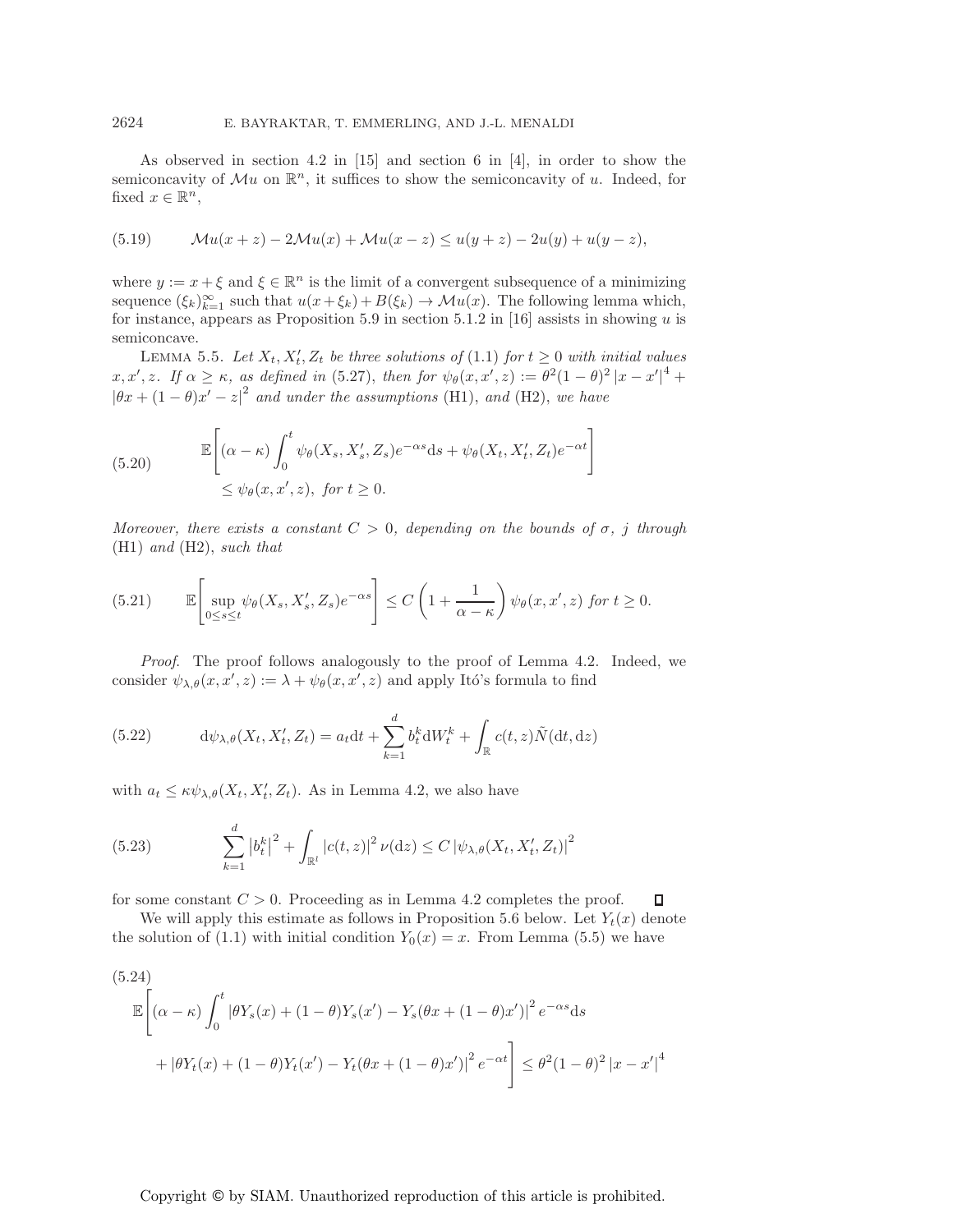As observed in section 4.2 in [15] and section 6 in [4], in order to show the semiconcavity of  $\mathcal{M}u$  on  $\mathbb{R}^n$ , it suffices to show the semiconcavity of u. Indeed, for fixed  $x \in \mathbb{R}^n$ ,

(5.19) 
$$
\mathcal{M}u(x+z) - 2\mathcal{M}u(x) + \mathcal{M}u(x-z) \le u(y+z) - 2u(y) + u(y-z),
$$

where  $y := x + \xi$  and  $\xi \in \mathbb{R}^n$  is the limit of a convergent subsequence of a minimizing sequence  $(\xi_k)_{k=1}^{\infty}$  such that  $u(x+\xi_k)+B(\xi_k) \to \mathcal{M}u(x)$ . The following lemma which, for instance, appears as Proposition 5.9 in section 5.1.2 in [16] assists in showing u is semiconcave.

LEMMA 5.5. Let  $X_t, X'_t, Z_t$  be three solutions of (1.1) for  $t \geq 0$  with initial values  $x, x', z$ . If  $\alpha \geq \kappa$ , as defined in (5.27), then for  $\psi_{\theta}(x, x', z) := \theta^2 (1 - \theta)^2 |x - x'|^4 +$  $|\theta x + (1-\theta)x' - z|^2$  *and under the assumptions* (H1), *and* (H2), *we have* 

(5.20) 
$$
\mathbb{E}\left[ (\alpha - \kappa) \int_0^t \psi_\theta(X_s, X'_s, Z_s) e^{-\alpha s} ds + \psi_\theta(X_t, X'_t, Z_t) e^{-\alpha t} \right] \leq \psi_\theta(x, x', z), \text{ for } t \geq 0.
$$

*Moreover, there exists a constant*  $C > 0$ *, depending on the bounds of*  $\sigma$ *, j through* (H1) *and* (H2), *such that*

(5.21) 
$$
\mathbb{E}\left[\sup_{0\leq s\leq t}\psi_{\theta}(X_s,X'_s,Z_s)e^{-\alpha s}\right]\leq C\left(1+\frac{1}{\alpha-\kappa}\right)\psi_{\theta}(x,x',z) \text{ for } t\geq 0.
$$

*Proof.* The proof follows analogously to the proof of Lemma 4.2. Indeed, we consider  $\psi_{\lambda,\theta}(x,x',z) := \lambda + \psi_{\theta}(x,x',z)$  and apply Itó's formula to find

(5.22) 
$$
d\psi_{\lambda,\theta}(X_t, X'_t, Z_t) = a_t dt + \sum_{k=1}^d b_t^k dW_t^k + \int_{\mathbb{R}} c(t,z) \tilde{N}(dt, dz)
$$

with  $a_t \leq \kappa \psi_{\lambda,\theta}(X_t, X_t', Z_t)$ . As in Lemma 4.2, we also have

(5.23) 
$$
\sum_{k=1}^{d} |b_{t}^{k}|^{2} + \int_{\mathbb{R}^{l}} |c(t, z)|^{2} \nu(\mathrm{d} z) \leq C |\psi_{\lambda, \theta}(X_{t}, X_{t}', Z_{t})|^{2}
$$

for some constant  $C > 0$ . Proceeding as in Lemma 4.2 completes the proof.

We will apply this estimate as follows in Proposition 5.6 below. Let  $Y_t(x)$  denote the solution of (1.1) with initial condition  $Y_0(x) = x$ . From Lemma (5.5) we have

 $\Box$ 

$$
(5.24)
$$
  
\n
$$
\mathbb{E}\left[\left(\alpha - \kappa\right) \int_0^t \left|\theta Y_s(x) + (1 - \theta)Y_s(x') - Y_s(\theta x + (1 - \theta)x')\right|^2 e^{-\alpha s} ds + \left|\theta Y_t(x) + (1 - \theta)Y_t(x') - Y_t(\theta x + (1 - \theta)x')\right|^2 e^{-\alpha t}\right] \leq \theta^2 (1 - \theta)^2 |x - x'|^4
$$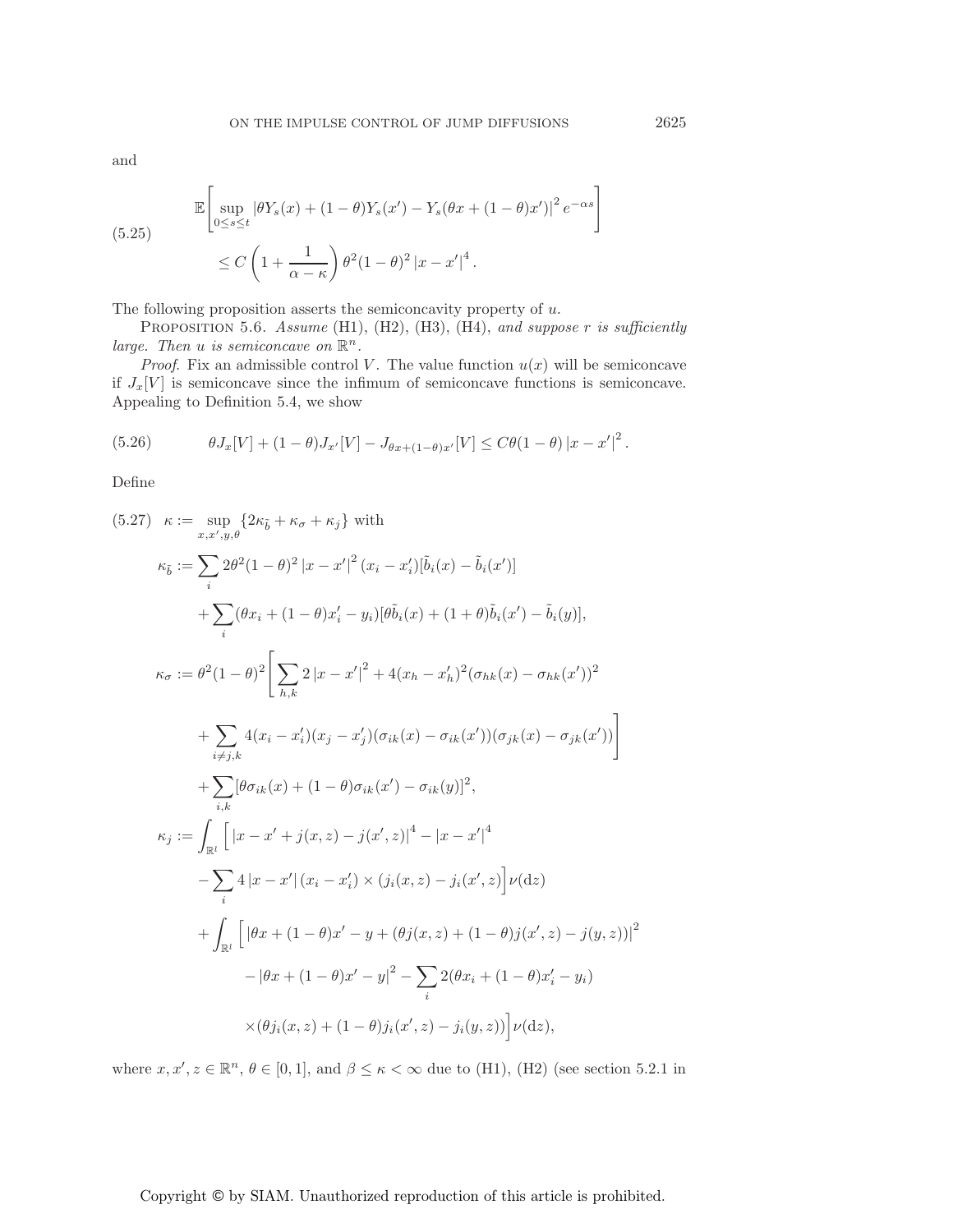and

(5.25) 
$$
\mathbb{E}\left[\sup_{0\leq s\leq t}|\theta Y_s(x) + (1-\theta)Y_s(x') - Y_s(\theta x + (1-\theta)x')|^2 e^{-\alpha s}\right]
$$

$$
\leq C\left(1 + \frac{1}{\alpha - \kappa}\right)\theta^2(1-\theta)^2|x - x'|^4.
$$

The following proposition asserts the semiconcavity property of  $u$ .

Proposition 5.6. *Assume* (H1), (H2), (H3), (H4), *and suppose* r *is sufficiently large. Then u is semiconcave on*  $\mathbb{R}^n$ *.* 

*Proof.* Fix an admissible control V. The value function  $u(x)$  will be semiconcave if  $J_x[V]$  is semiconcave since the infimum of semiconcave functions is semiconcave. Appealing to Definition 5.4, we show

(5.26) 
$$
\theta J_x[V] + (1-\theta)J_{x'}[V] - J_{\theta x + (1-\theta)x'}[V] \leq C\theta (1-\theta) |x - x'|^2.
$$

Define

$$
(5.27) \quad \kappa := \sup_{x,x',y,\theta} \{ 2\kappa_{\tilde{b}} + \kappa_{\sigma} + \kappa_{j} \} \text{ with}
$$
\n
$$
\kappa_{\tilde{b}} := \sum_{x,x',y,\theta} 2\theta^{2} (1-\theta)^{2} |x - x'|^{2} (x_{i} - x'_{i}) [\tilde{b}_{i}(x) - \tilde{b}_{i}(x')]
$$
\n
$$
+ \sum_{i} (\theta x_{i} + (1-\theta)x'_{i} - y_{i}) [\theta \tilde{b}_{i}(x) + (1+\theta)\tilde{b}_{i}(x') - \tilde{b}_{i}(y)],
$$
\n
$$
\kappa_{\sigma} := \theta^{2} (1-\theta)^{2} \Bigg[ \sum_{h,k} 2 |x - x'|^{2} + 4(x_{h} - x'_{h})^{2} (\sigma_{hk}(x) - \sigma_{hk}(x'))^{2}
$$
\n
$$
+ \sum_{i \neq j,k} 4(x_{i} - x'_{i}) (x_{j} - x'_{j}) (\sigma_{ik}(x) - \sigma_{ik}(x')) (\sigma_{jk}(x) - \sigma_{jk}(x')) \Bigg]
$$
\n
$$
+ \sum_{i,k} [\theta \sigma_{ik}(x) + (1-\theta)\sigma_{ik}(x') - \sigma_{ik}(y)]^{2},
$$
\n
$$
\kappa_{j} := \int_{\mathbb{R}^{l}} \Big[ |x - x' + j(x, z) - j(x', z)|^{4} - |x - x'|^{4}
$$
\n
$$
- \sum_{i} 4 |x - x'| (x_{i} - x'_{i}) \times (j_{i}(x, z) - j_{i}(x', z)] \nu(\mathrm{d}z)
$$
\n
$$
+ \int_{\mathbb{R}^{l}} \Big[ |\theta x + (1 - \theta)x' - y + (\theta j(x, z) + (1 - \theta) j(x', z) - j(y, z))|^{2}
$$
\n
$$
- |\theta x + (1 - \theta)x' - y|^{2} - \sum_{i} 2(\theta x_{i} + (1 - \theta)x'_{i} - y_{i}) \times (\theta j_{i}(x, z) + (1 - \theta) j_{i}(x', z) - j_{i}(y, z))] \nu(\mathrm{d}z),
$$

where  $x, x', z \in \mathbb{R}^n$ ,  $\theta \in [0, 1]$ , and  $\beta \leq \kappa < \infty$  due to (H1), (H2) (see section 5.2.1 in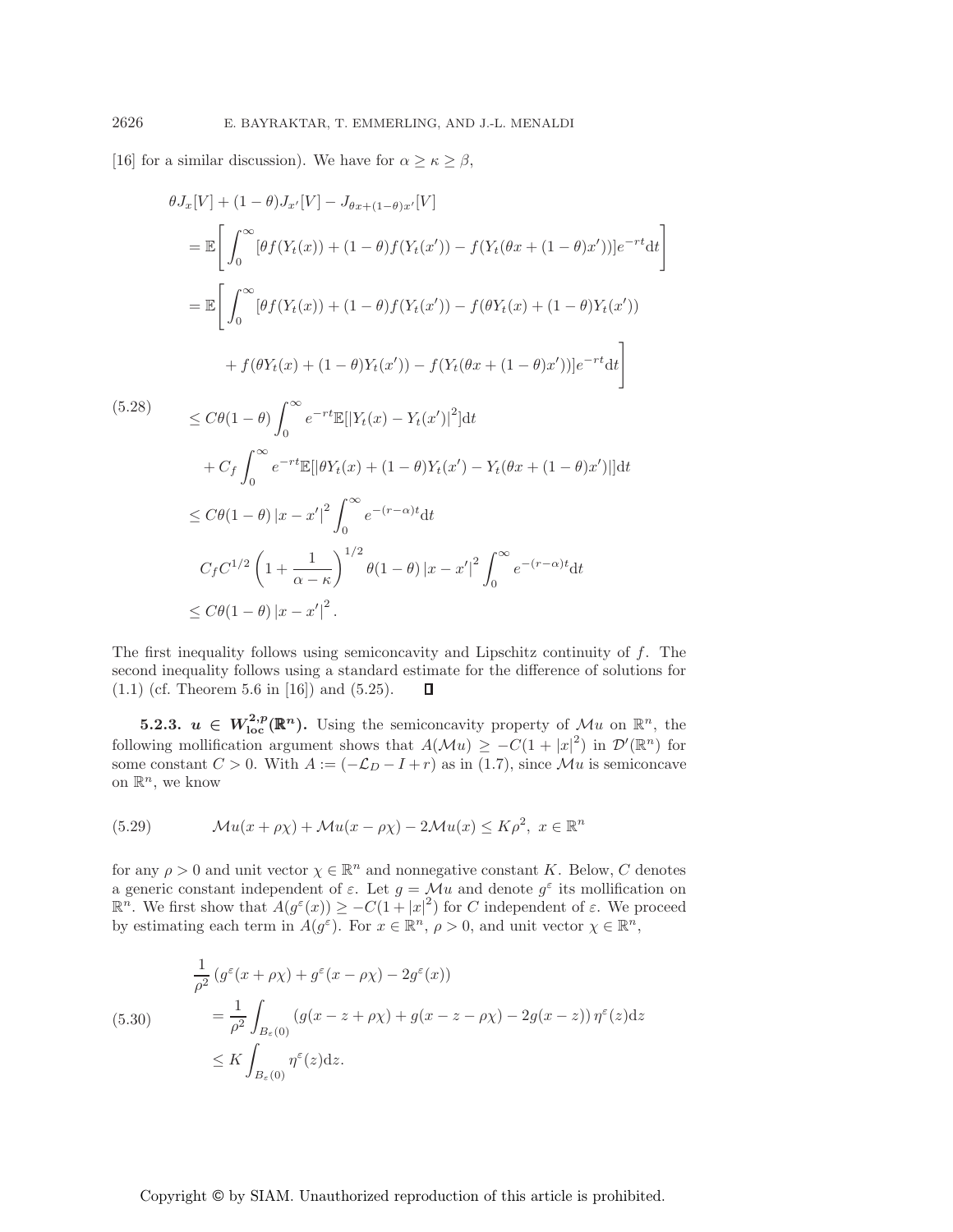[16] for a similar discussion). We have for  $\alpha \geq \kappa \geq \beta$ ,

$$
\theta J_x[V] + (1 - \theta)J_{x'}[V] - J_{\theta x + (1 - \theta)x'}[V]
$$
  
\n
$$
= \mathbb{E} \left[ \int_0^\infty [\theta f(Y_t(x)) + (1 - \theta)f(Y_t(x')) - f(Y_t(\theta x + (1 - \theta)x'))]e^{-rt}dt \right]
$$
  
\n
$$
= \mathbb{E} \left[ \int_0^\infty [\theta f(Y_t(x)) + (1 - \theta)f(Y_t(x')) - f(\theta Y_t(x) + (1 - \theta)Y_t(x')) + f(\theta Y_t(x) + (1 - \theta)Y_t(x')) + f(\theta Y_t(x) + (1 - \theta)Y_t(x')) - f(Y_t(\theta x + (1 - \theta)x'))]e^{-rt}dt \right]
$$
  
\n(5.28)  
\n
$$
\leq C\theta (1 - \theta) \int_0^\infty e^{-rt} \mathbb{E} [|Y_t(x) - Y_t(x')|^2] dt
$$
  
\n
$$
+ C_f \int_0^\infty e^{-rt} \mathbb{E} [| \theta Y_t(x) + (1 - \theta)Y_t(x') - Y_t(\theta x + (1 - \theta)x')|] dt
$$
  
\n
$$
\leq C\theta (1 - \theta) |x - x'|^2 \int_0^\infty e^{-(r - \alpha)t} dt
$$
  
\n
$$
C_f C^{1/2} \left( 1 + \frac{1}{\alpha - \kappa} \right)^{1/2} \theta (1 - \theta) |x - x'|^2 \int_0^\infty e^{-(r - \alpha)t} dt
$$
  
\n
$$
\leq C\theta (1 - \theta) |x - x'|^2.
$$

The first inequality follows using semiconcavity and Lipschitz continuity of f. The second inequality follows using a standard estimate for the difference of solutions for  $(1.1)$  (cf. Theorem 5.6 in [16]) and  $(5.25)$ . П

**5.2.3.**  $u \in W^{2,p}_{loc}(\mathbb{R}^n)$ . Using the semiconcavity property of  $\mathcal{M}u$  on  $\mathbb{R}^n$ , the following mollification argument shows that  $A(\mathcal{M}u) \geq -C(1+|x|^2)$  in  $\mathcal{D}'(\mathbb{R}^n)$  for some constant  $C > 0$ . With  $A := (-\mathcal{L}_D - I + r)$  as in (1.7), since  $\mathcal{M}u$  is semiconcave on  $\mathbb{R}^n$ , we know

(5.29) 
$$
\mathcal{M}u(x+\rho\chi) + \mathcal{M}u(x-\rho\chi) - 2\mathcal{M}u(x) \leq K\rho^2, \ x \in \mathbb{R}^n
$$

for any  $\rho > 0$  and unit vector  $\chi \in \mathbb{R}^n$  and nonnegative constant K. Below, C denotes a generic constant independent of  $\varepsilon$ . Let  $g = \mathcal{M}u$  and denote  $g^{\varepsilon}$  its mollification on  $\mathbb{R}^n$ . We first show that  $A(g^{\varepsilon}(x)) \geq -C(1+|x|^2)$  for C independent of  $\varepsilon$ . We proceed by estimating each term in  $A(g^{\varepsilon})$ . For  $x \in \mathbb{R}^n$ ,  $\rho > 0$ , and unit vector  $\chi \in \mathbb{R}^n$ ,

(5.30)  
\n
$$
\frac{1}{\rho^2} (g^{\varepsilon}(x + \rho \chi) + g^{\varepsilon}(x - \rho \chi) - 2g^{\varepsilon}(x))
$$
\n
$$
= \frac{1}{\rho^2} \int_{B_{\varepsilon}(0)} (g(x - z + \rho \chi) + g(x - z - \rho \chi) - 2g(x - z)) \eta^{\varepsilon}(z) dz
$$
\n
$$
\leq K \int_{B_{\varepsilon}(0)} \eta^{\varepsilon}(z) dz.
$$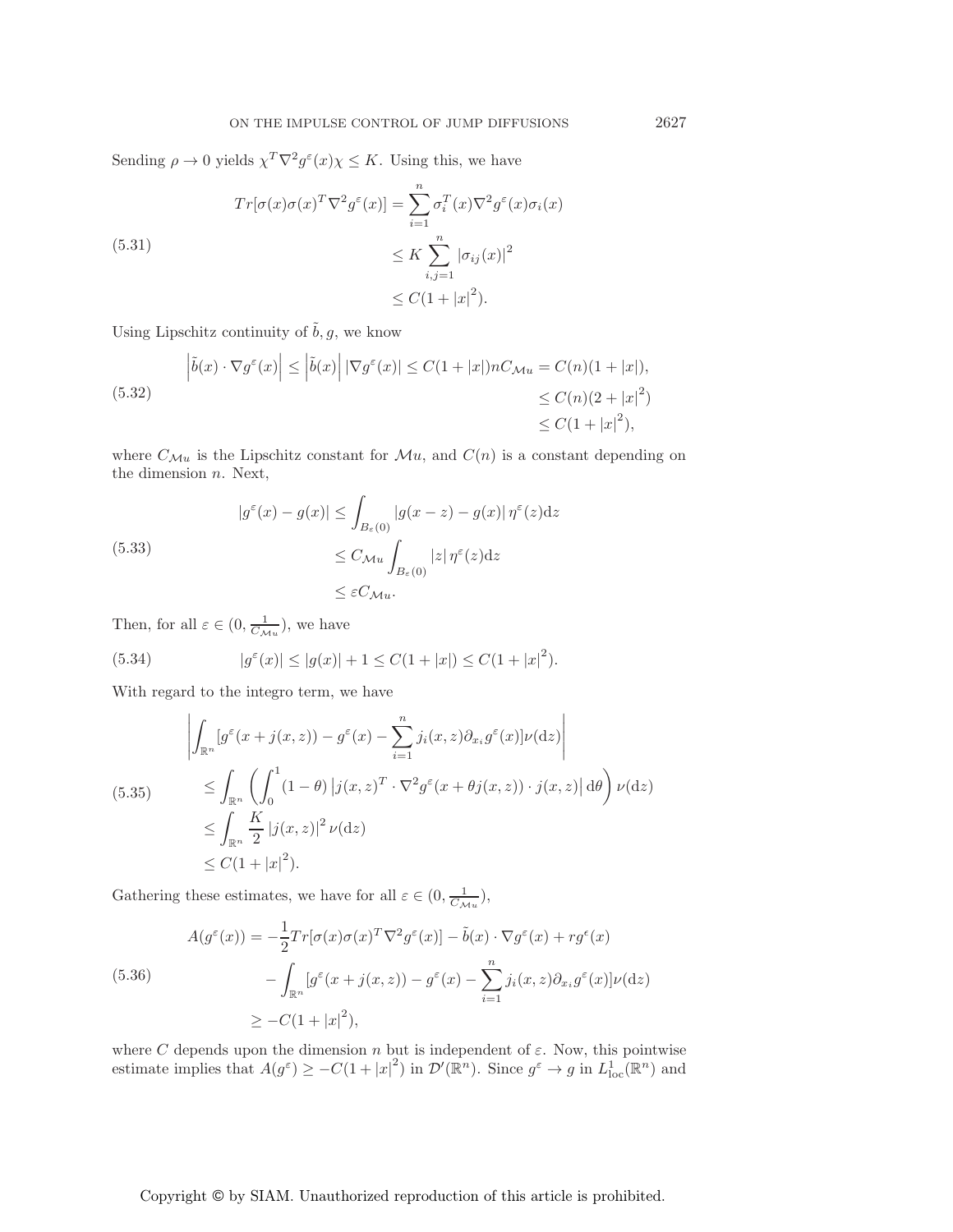Sending  $\rho \to 0$  yields  $\chi^T \nabla^2 g^{\varepsilon}(x) \chi \leq K$ . Using this, we have

(5.31)  
\n
$$
Tr[\sigma(x)\sigma(x)^T \nabla^2 g^{\varepsilon}(x)] = \sum_{i=1}^n \sigma_i^T(x) \nabla^2 g^{\varepsilon}(x) \sigma_i(x)
$$
\n
$$
\leq K \sum_{i,j=1}^n |\sigma_{ij}(x)|^2
$$
\n
$$
\leq C(1+|x|^2).
$$

Using Lipschitz continuity of  $\tilde{b}, g,$  we know

(5.32) 
$$
\left| \tilde{b}(x) \cdot \nabla g^{\varepsilon}(x) \right| \leq \left| \tilde{b}(x) \right| \left| \nabla g^{\varepsilon}(x) \right| \leq C(1+|x|) n C_{\mathcal{M}u} = C(n)(1+|x|),
$$
  

$$
\leq C(n)(2+|x|^2) \leq C(1+|x|^2),
$$

where  $C_{\mathcal{M}u}$  is the Lipschitz constant for  $\mathcal{M}u$ , and  $C(n)$  is a constant depending on the dimension n. Next,

(5.33)  
\n
$$
|g^{\varepsilon}(x) - g(x)| \leq \int_{B_{\varepsilon}(0)} |g(x - z) - g(x)| \eta^{\varepsilon}(z) dz
$$
\n
$$
\leq C_{\mathcal{M}u} \int_{B_{\varepsilon}(0)} |z| \eta^{\varepsilon}(z) dz
$$
\n
$$
\leq \varepsilon C_{\mathcal{M}u}.
$$

Then, for all  $\varepsilon \in (0, \frac{1}{C_{\mathcal{M}u}})$ , we have

(5.34) 
$$
|g^{\varepsilon}(x)| \le |g(x)| + 1 \le C(1+|x|) \le C(1+|x|^2).
$$

With regard to the integro term, we have

$$
\left| \int_{\mathbb{R}^n} [g^{\varepsilon}(x + j(x, z)) - g^{\varepsilon}(x) - \sum_{i=1}^n j_i(x, z) \partial_{x_i} g^{\varepsilon}(x)] \nu(\mathrm{d}z) \right|
$$
\n
$$
\leq \int_{\mathbb{R}^n} \left( \int_0^1 (1 - \theta) |j(x, z)^T \cdot \nabla^2 g^{\varepsilon}(x + \theta j(x, z)) \cdot j(x, z) | \, \mathrm{d}\theta \right) \nu(\mathrm{d}z)
$$
\n
$$
\leq \int_{\mathbb{R}^n} \frac{K}{2} |j(x, z)|^2 \nu(\mathrm{d}z)
$$
\n
$$
\leq C(1 + |x|^2).
$$

Gathering these estimates, we have for all  $\varepsilon \in (0, \frac{1}{C_{\mathcal{M}u}})$ ,

(5.36)  
\n
$$
A(g^{\varepsilon}(x)) = -\frac{1}{2}Tr[\sigma(x)\sigma(x)^{T}\nabla^{2}g^{\varepsilon}(x)] - \tilde{b}(x) \cdot \nabla g^{\varepsilon}(x) + rg^{\varepsilon}(x) - \int_{\mathbb{R}^{n}} [g^{\varepsilon}(x + j(x, z)) - g^{\varepsilon}(x) - \sum_{i=1}^{n} j_{i}(x, z)\partial_{x_{i}}g^{\varepsilon}(x)]\nu(\mathrm{d}z)
$$
\n
$$
\geq -C(1+|x|^{2}),
$$

where C depends upon the dimension n but is independent of  $\varepsilon$ . Now, this pointwise estimate implies that  $A(g^{\varepsilon}) \geq -C(1+|x|^2)$  in  $\mathcal{D}'(\mathbb{R}^n)$ . Since  $g^{\varepsilon} \to g$  in  $L^1_{loc}(\mathbb{R}^n)$  and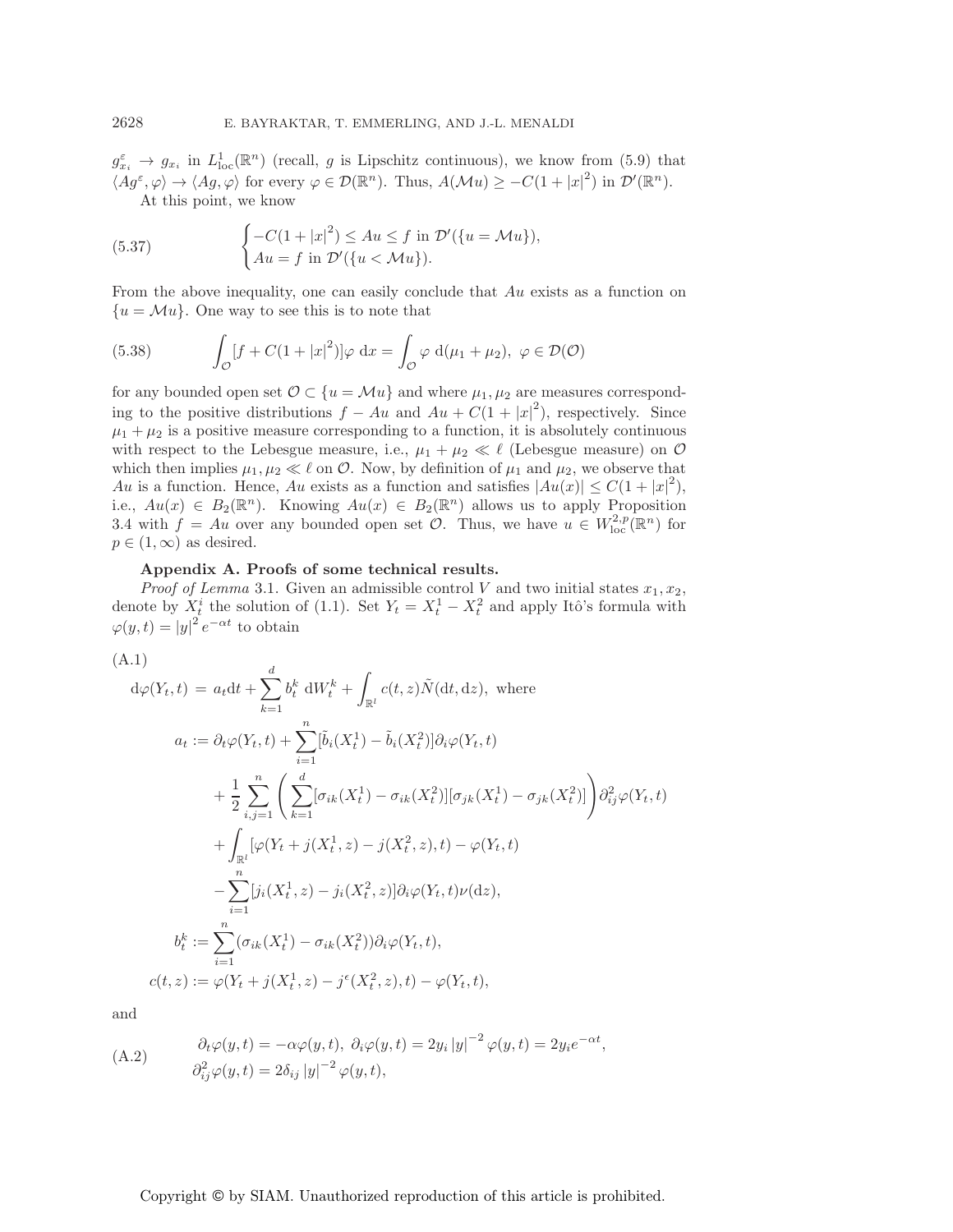$g_{x_i}^{\varepsilon} \to g_{x_i}$  in  $L^1_{loc}(\mathbb{R}^n)$  (recall, g is Lipschitz continuous), we know from (5.9) that  $\langle Ag^{\varepsilon}, \varphi \rangle \to \langle Ag, \varphi \rangle$  for every  $\varphi \in \mathcal{D}(\mathbb{R}^n)$ . Thus,  $A(\mathcal{M}u) \geq -C(1+|x|^2)$  in  $\mathcal{D}'(\mathbb{R}^n)$ . At this point, we know

(5.37) 
$$
\begin{cases} -C(1+|x|^2) \le Au \le f \text{ in } \mathcal{D}'(\{u=\mathcal{M}u\}), \\ Au = f \text{ in } \mathcal{D}'(\{u<\mathcal{M}u\}). \end{cases}
$$

From the above inequality, one can easily conclude that Au exists as a function on  ${u = \mathcal{M}u}$ . One way to see this is to note that

(5.38) 
$$
\int_{\mathcal{O}} [f + C(1+|x|^2)] \varphi \, dx = \int_{\mathcal{O}} \varphi \, d(\mu_1 + \mu_2), \ \varphi \in \mathcal{D}(\mathcal{O})
$$

for any bounded open set  $\mathcal{O} \subset \{u = \mathcal{M}u\}$  and where  $\mu_1, \mu_2$  are measures corresponding to the positive distributions  $f - Au$  and  $Au + C(1 + |x|^2)$ , respectively. Since  $\mu_1 + \mu_2$  is a positive measure corresponding to a function, it is absolutely continuous with respect to the Lebesgue measure, i.e.,  $\mu_1 + \mu_2 \ll \ell$  (Lebesgue measure) on  $\mathcal O$ which then implies  $\mu_1, \mu_2 \ll \ell$  on  $\mathcal{O}$ . Now, by definition of  $\mu_1$  and  $\mu_2$ , we observe that Au is a function. Hence, Au exists as a function and satisfies  $|Au(x)| \leq C(1+|x|^2)$ , i.e.,  $Au(x) \in B_2(\mathbb{R}^n)$ . Knowing  $Au(x) \in B_2(\mathbb{R}^n)$  allows us to apply Proposition 3.4 with  $f = Au$  over any bounded open set  $\mathcal{O}$ . Thus, we have  $u \in W^{2,p}_{loc}(\mathbb{R}^n)$  for  $p \in (1,\infty)$  as desired.

#### **Appendix A. Proofs of some technical results.**

*Proof of Lemma* 3.1. Given an admissible control V and two initial states  $x_1, x_2$ , denote by  $X_t^i$  the solution of (1.1). Set  $Y_t = X_t^1 - X_t^2$  and apply Itô's formula with  $\varphi(y,t) = |y|^{2} e^{-\alpha t}$  to obtain

(A.1)

$$
d\varphi(Y_t, t) = a_t dt + \sum_{k=1}^d b_t^k dW_t^k + \int_{\mathbb{R}^l} c(t, z) \tilde{N}(dt, dz), \text{ where}
$$
  
\n
$$
a_t := \partial_t \varphi(Y_t, t) + \sum_{i=1}^n [\tilde{b}_i(X_t^1) - \tilde{b}_i(X_t^2)] \partial_i \varphi(Y_t, t)
$$
  
\n
$$
+ \frac{1}{2} \sum_{i,j=1}^n \left( \sum_{k=1}^d [\sigma_{ik}(X_t^1) - \sigma_{ik}(X_t^2)][\sigma_{jk}(X_t^1) - \sigma_{jk}(X_t^2)] \partial_{ij}^2 \varphi(Y_t, t) + \int_{\mathbb{R}^l} [\varphi(Y_t + j(X_t^1, z) - j(X_t^2, z), t) - \varphi(Y_t, t) - \sum_{i=1}^n [j_i(X_t^1, z) - j_i(X_t^2, z)] \partial_i \varphi(Y_t, t) \nu(dz),
$$
  
\n
$$
b_t^k := \sum_{i=1}^n (\sigma_{ik}(X_t^1) - \sigma_{ik}(X_t^2)) \partial_i \varphi(Y_t, t),
$$
  
\n
$$
c(t, z) := \varphi(Y_t + j(X_t^1, z) - j^{\epsilon}(X_t^2, z), t) - \varphi(Y_t, t),
$$

and

(A.2) 
$$
\begin{aligned}\n\partial_t \varphi(y, t) &= -\alpha \varphi(y, t), \ \partial_i \varphi(y, t) = 2y_i |y|^{-2} \varphi(y, t) = 2y_i e^{-\alpha t}, \\
\partial_{ij}^2 \varphi(y, t) &= 2\delta_{ij} |y|^{-2} \varphi(y, t),\n\end{aligned}
$$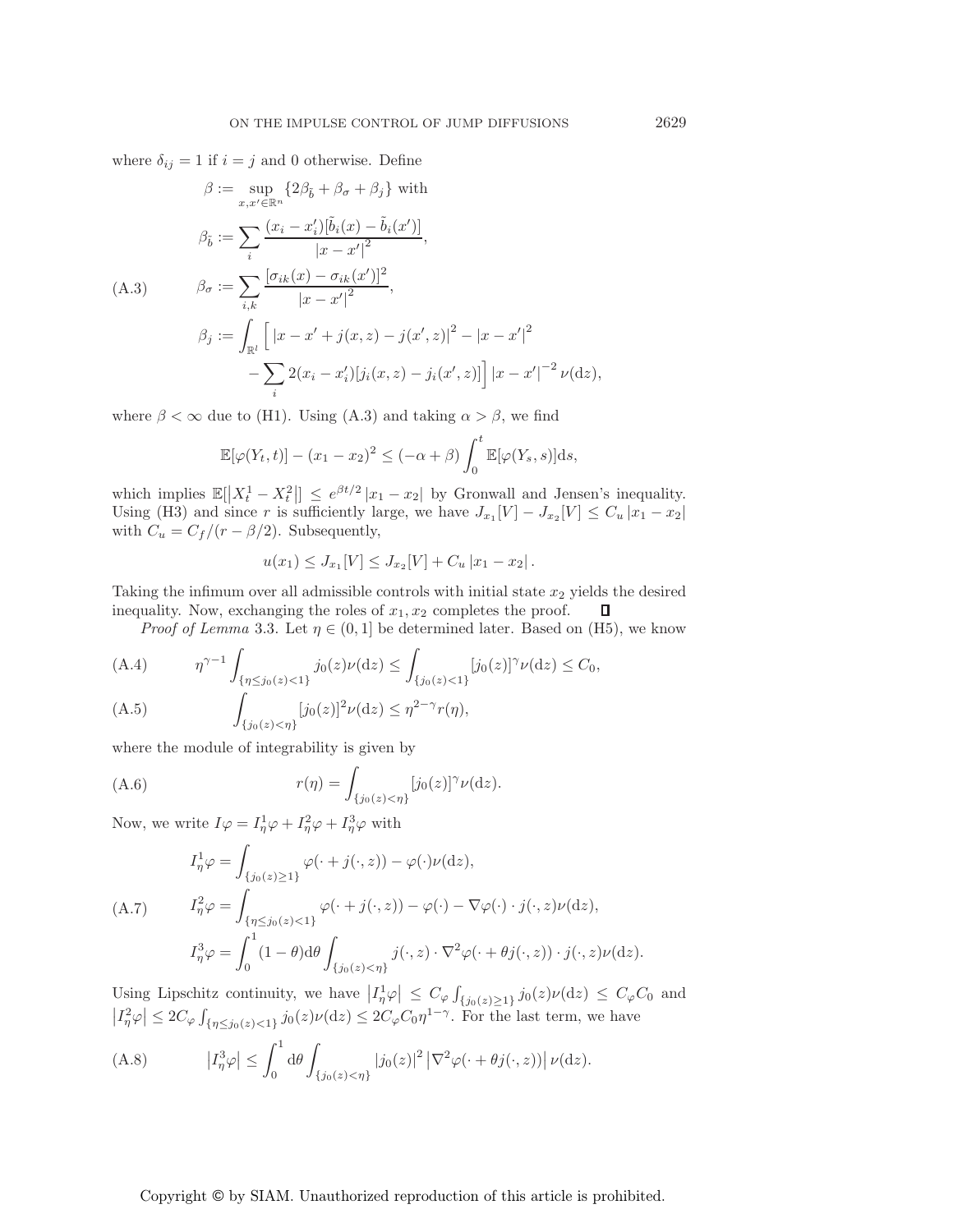where  $\delta_{ij} = 1$  if  $i = j$  and 0 otherwise. Define

$$
\beta := \sup_{x,x' \in \mathbb{R}^n} \{2\beta_{\tilde{b}} + \beta_{\sigma} + \beta_{j}\} \text{ with}
$$
  
\n
$$
\beta_{\tilde{b}} := \sum_{i} \frac{(x_{i} - x'_{i})[\tilde{b}_{i}(x) - \tilde{b}_{i}(x')]}{|x - x'|^{2}},
$$
  
\n(A.3) 
$$
\beta_{\sigma} := \sum_{i,k} \frac{[\sigma_{ik}(x) - \sigma_{ik}(x')]^{2}}{|x - x'|^{2}},
$$
  
\n
$$
\beta_{j} := \int_{\mathbb{R}^l} \left[ |x - x' + j(x, z) - j(x', z)|^{2} - |x - x'|^{2} - \sum_{i} 2(x_{i} - x'_{i})[j_{i}(x, z) - j_{i}(x', z)] \right] |x - x'|^{-2} \nu(\mathrm{d}z),
$$

where  $\beta < \infty$  due to (H1). Using (A.3) and taking  $\alpha > \beta$ , we find

$$
\mathbb{E}[\varphi(Y_t,t)]-(x_1-x_2)^2\leq (-\alpha+\beta)\int_0^t\mathbb{E}[\varphi(Y_s,s)]\mathrm{d}s,
$$

which implies  $\mathbb{E}[|X_t^1 - X_t^2|] \leq e^{\beta t/2} |x_1 - x_2|$  by Gronwall and Jensen's inequality. Using (H3) and since r is sufficiently large, we have  $J_{x_1}[V] - J_{x_2}[V] \leq C_u |x_1 - x_2|$ with  $C_u = C_f/(r - \beta/2)$ . Subsequently,

$$
u(x_1) \le J_{x_1}[V] \le J_{x_2}[V] + C_u |x_1 - x_2|.
$$

Taking the infimum over all admissible controls with initial state  $x_2$  yields the desired inequality. Now, exchanging the roles of  $x_1, x_2$  completes the proof.  $\Box$ 

*Proof of Lemma* 3.3. Let  $\eta \in (0,1]$  be determined later. Based on (H5), we know

$$
\text{(A.4)} \qquad \eta^{\gamma - 1} \int_{\{\eta \le j_0(z) < 1\}} j_0(z) \nu(\mathrm{d}z) \le \int_{\{j_0(z) < 1\}} [j_0(z)]^{\gamma} \nu(\mathrm{d}z) \le C_0,
$$
\n
$$
\int_{\{\eta \le j_0(z) < 1\}} j_0(z) \nu(\mathrm{d}z) \le C_0.
$$

(A.5) 
$$
\int_{\{j_0(z) < \eta\}} [j_0(z)]^2 \nu(\mathrm{d}z) \leq \eta^{2-\gamma} r(\eta),
$$

where the module of integrability is given by

(A.6) 
$$
r(\eta) = \int_{\{j_0(z) < \eta\}} [j_0(z)]^{\gamma} \nu(\mathrm{d}z).
$$

Now, we write  $I\varphi = I_n^1\varphi + I_n^2\varphi + I_n^3\varphi$  with

$$
I_{\eta}^{1} \varphi = \int_{\{j_0(z)\geq 1\}} \varphi(\cdot + j(\cdot, z)) - \varphi(\cdot)\nu(\mathrm{d}z),
$$
  
(A.7) 
$$
I_{\eta}^{2} \varphi = \int_{\{\eta \leq j_0(z) < 1\}} \varphi(\cdot + j(\cdot, z)) - \varphi(\cdot) - \nabla\varphi(\cdot) \cdot j(\cdot, z)\nu(\mathrm{d}z),
$$

$$
I_{\eta}^{3} \varphi = \int_{0}^{1} (1 - \theta) \mathrm{d}\theta \int_{\{j_0(z) < \eta\}} j(\cdot, z) \cdot \nabla^2 \varphi(\cdot + \theta j(\cdot, z)) \cdot j(\cdot, z)\nu(\mathrm{d}z).
$$

Using Lipschitz continuity, we have  $|I^1_{\eta}\varphi| \leq C_{\varphi} \int_{\{j_0(z)\geq 1\}} j_0(z)\nu(\mathrm{d}z) \leq C_{\varphi} C_0$  and  $\left|I_n^2\varphi\right| \leq 2C_{\varphi}\int_{\{\eta\leq j_0(z)<1\}}j_0(z)\nu(\mathrm{d}z)\leq 2C_{\varphi}C_0\eta^{1-\gamma}$ . For the last term, we have

(A.8) 
$$
\left|I_{\eta}^{3}\varphi\right| \leq \int_{0}^{1} d\theta \int_{\{j_{0}(z)<\eta\}} \left|j_{0}(z)\right|^{2} \left|\nabla^{2}\varphi(\cdot+\theta j(\cdot,z))\right| \nu(\mathrm{d} z).
$$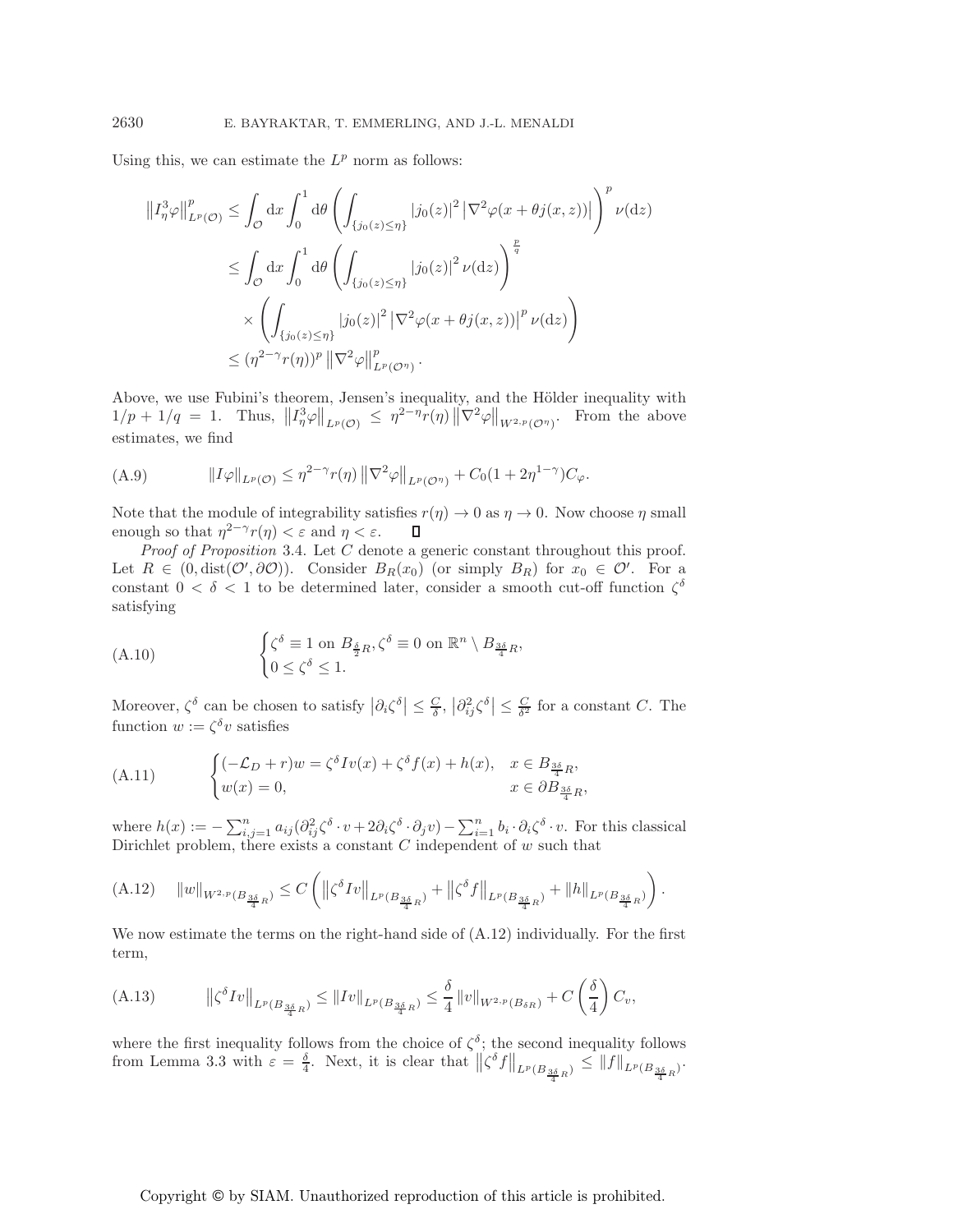Using this, we can estimate the  $L^p$  norm as follows:

$$
\|I_{\eta}^{3}\varphi\|_{L^{p}(\mathcal{O})}^{p} \leq \int_{\mathcal{O}} dx \int_{0}^{1} d\theta \left( \int_{\{j_{0}(z)\leq\eta\}} |j_{0}(z)|^{2} |\nabla^{2}\varphi(x+\theta j(x,z))| \right)^{p} \nu(\mathrm{d}z)
$$
  

$$
\leq \int_{\mathcal{O}} dx \int_{0}^{1} d\theta \left( \int_{\{j_{0}(z)\leq\eta\}} |j_{0}(z)|^{2} \nu(\mathrm{d}z) \right)^{\frac{p}{q}}
$$
  

$$
\times \left( \int_{\{j_{0}(z)\leq\eta\}} |j_{0}(z)|^{2} |\nabla^{2}\varphi(x+\theta j(x,z))|^{p} \nu(\mathrm{d}z) \right)
$$
  

$$
\leq (\eta^{2-\gamma}r(\eta))^{p} ||\nabla^{2}\varphi||_{L^{p}(\mathcal{O}^{\eta})}^{p}.
$$

Above, we use Fubini's theorem, Jensen's inequality, and the Hölder inequality with  $1/p + 1/q = 1$ . Thus,  $||I_{\eta}^3 \varphi||_{L^p(\mathcal{O})} \leq \eta^{2-\eta} r(\eta) ||\nabla^2 \varphi||_{W^{2,p}(\mathcal{O}^{\eta})}$ . From the above estimates, we find

(A.9) 
$$
\|I\varphi\|_{L^p(\mathcal{O})} \leq \eta^{2-\gamma}r(\eta) \left\|\nabla^2\varphi\right\|_{L^p(\mathcal{O}^{\eta})} + C_0(1+2\eta^{1-\gamma})C_{\varphi}.
$$

Note that the module of integrability satisfies  $r(\eta) \to 0$  as  $\eta \to 0$ . Now choose  $\eta$  small enough so that  $\eta^{2-\gamma}r(\eta) < \varepsilon$  and  $\eta < \varepsilon$ .  $\Box$ 

*Proof of Proposition* 3.4. Let C denote a generic constant throughout this proof. Let  $R \in (0, \text{dist}(\mathcal{O}', \partial \mathcal{O}))$ . Consider  $B_R(x_0)$  (or simply  $B_R$ ) for  $x_0 \in \mathcal{O}'$ . For a constant  $0 < \delta < 1$  to be determined later, consider a smooth cut-off function  $\zeta^{\delta}$ satisfying

(A.10) 
$$
\begin{cases} \zeta^{\delta} \equiv 1 \text{ on } B_{\frac{\delta}{2}R}, \zeta^{\delta} \equiv 0 \text{ on } \mathbb{R}^n \setminus B_{\frac{3\delta}{4}R}, \\ 0 \leq \zeta^{\delta} \leq 1. \end{cases}
$$

Moreover,  $\zeta^{\delta}$  can be chosen to satisfy  $|\partial_i \zeta^{\delta}| \leq \frac{C}{\delta}$ ,  $|\partial_{ij}^2 \zeta^{\delta}| \leq \frac{C}{\delta^2}$  for a constant C. The function  $w := \zeta^{\delta} v$  satisfies

(A.11) 
$$
\begin{cases} (-\mathcal{L}_D + r)w = \zeta^{\delta} I v(x) + \zeta^{\delta} f(x) + h(x), & x \in B_{\frac{3\delta}{4}R},\\ w(x) = 0, & x \in \partial B_{\frac{3\delta}{4}R}, \end{cases}
$$

where  $h(x) := -\sum_{i,j=1}^n a_{ij} (\partial_{ij}^2 \zeta^{\delta} \cdot v + 2\partial_i \zeta^{\delta} \cdot \partial_j v) - \sum_{i=1}^n b_i \cdot \partial_i \zeta^{\delta} \cdot v$ . For this classical Dirichlet problem, there exists a constant  $C$  independent of  $w$  such that

$$
(A.12) \quad ||w||_{W^{2,p}(B_{\frac{3\delta}{4}R})} \leq C \left( \left\|\zeta^{\delta} Iv\right\|_{L^{p}(B_{\frac{3\delta}{4}R})} + \left\|\zeta^{\delta} f\right\|_{L^{p}(B_{\frac{3\delta}{4}R})} + \|h\|_{L^{p}(B_{\frac{3\delta}{4}R})} \right).
$$

We now estimate the terms on the right-hand side of (A.12) individually. For the first term,

$$
(A.13) \t\t ||\zeta^{\delta} Iv||_{L^{p}(B_{\frac{3\delta}{4}R})} \leq ||Iv||_{L^{p}(B_{\frac{3\delta}{4}R})} \leq \frac{\delta}{4} ||v||_{W^{2,p}(B_{\delta R})} + C\left(\frac{\delta}{4}\right)C_v,
$$

where the first inequality follows from the choice of  $\zeta^{\delta}$ ; the second inequality follows from Lemma 3.3 with  $\varepsilon = \frac{\delta}{4}$ . Next, it is clear that  $\left\| \zeta^{\delta} f \right\|_{L^p(B_{\frac{3\delta}{4}R})} \leq \left\| f \right\|_{L^p(B_{\frac{3\delta}{4}R})}$ .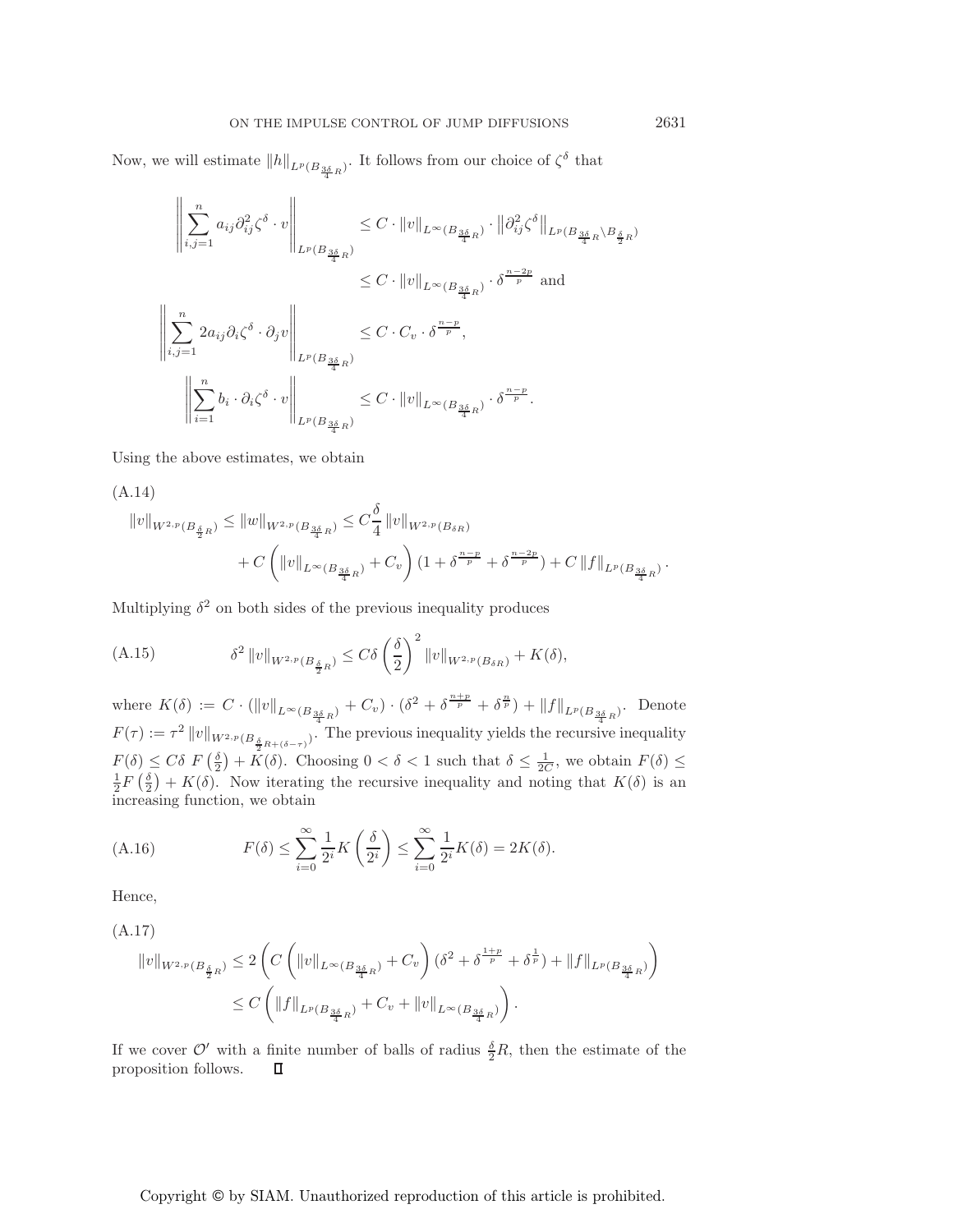Now, we will estimate  $||h||_{L^p(B_{\frac{3\delta}{4}R})}$ . It follows from our choice of  $\zeta^{\delta}$  that

$$
\left\| \sum_{i,j=1}^{n} a_{ij} \partial_{ij}^{2} \zeta^{\delta} \cdot v \right\|_{L^{p}(B_{\frac{3\delta}{4}R})} \leq C \cdot \|v\|_{L^{\infty}(B_{\frac{3\delta}{4}R})} \cdot \left\| \partial_{ij}^{2} \zeta^{\delta} \right\|_{L^{p}(B_{\frac{3\delta}{4}R} \setminus B_{\frac{\delta}{2}R})}
$$
  

$$
\leq C \cdot \|v\|_{L^{\infty}(B_{\frac{3\delta}{4}R})} \cdot \delta^{\frac{n-2p}{p}} \text{ and }
$$
  

$$
\left\| \sum_{i,j=1}^{n} 2a_{ij} \partial_{i} \zeta^{\delta} \cdot \partial_{j} v \right\|_{L^{p}(B_{\frac{3\delta}{4}R})}
$$
  

$$
\left\| \sum_{i=1}^{n} b_{i} \cdot \partial_{i} \zeta^{\delta} \cdot v \right\|_{L^{p}(B_{\frac{3\delta}{4}R})} \leq C \cdot \|v\|_{L^{\infty}(B_{\frac{3\delta}{4}R})} \cdot \delta^{\frac{n-p}{p}}.
$$

Using the above estimates, we obtain

(A.14)  
\n
$$
||v||_{W^{2,p}(B_{\frac{\delta}{2}R})} \le ||w||_{W^{2,p}(B_{\frac{3\delta}{4}R})} \le C_{\frac{\delta}{4}}^{\frac{\delta}{2}} ||v||_{W^{2,p}(B_{\delta R})}
$$
\n
$$
+ C \left( ||v||_{L^{\infty}(B_{\frac{3\delta}{4}R})} + C_v \right) (1 + \delta^{\frac{n-p}{p}} + \delta^{\frac{n-2p}{p}}) + C ||f||_{L^p(B_{\frac{3\delta}{4}R})}.
$$

Multiplying  $\delta^2$  on both sides of the previous inequality produces

(A.15) 
$$
\delta^2 \|v\|_{W^{2,p}(B_{\frac{\delta}{2}R})} \leq C\delta \left(\frac{\delta}{2}\right)^2 \|v\|_{W^{2,p}(B_{\delta R})} + K(\delta),
$$

where  $K(\delta) := C \cdot (\|v\|_{L^{\infty}(B_{\frac{3\delta}{4}R})} + C_v) \cdot (\delta^2 + \delta^{\frac{n+p}{p}} + \delta^{\frac{n}{p}}) + \|f\|_{L^p(B_{\frac{3\delta}{4}R})}$ . Denote  $F(\tau) := \tau^2 ||v||_{W^{2,p}(B_{\frac{\delta}{2}R+(\delta-\tau)})}$ . The previous inequality yields the recursive inequality  $F(\delta) \leq C\delta \ F\left(\frac{\delta}{2}\right) + \overset{\circ}{K}(\delta)$ . Choosing  $0 < \delta < 1$  such that  $\delta \leq \frac{1}{2C}$ , we obtain  $F(\delta) \leq$  $\frac{1}{2}F(\frac{\delta}{2})+K(\delta)$ . Now iterating the recursive inequality and noting that  $K(\delta)$  is an increasing function, we obtain

(A.16) 
$$
F(\delta) \le \sum_{i=0}^{\infty} \frac{1}{2^i} K\left(\frac{\delta}{2^i}\right) \le \sum_{i=0}^{\infty} \frac{1}{2^i} K(\delta) = 2K(\delta).
$$

Hence,

(A.17)

$$
\begin{aligned} \|v\|_{W^{2,p}(B_{\frac{\delta}{2}R})}&\leq 2\left(C\left(\|v\|_{L^{\infty}(B_{\frac{3\delta}{4}R})}+C_v\right)(\delta^2+\delta^{\frac{1+p}{p}}+\delta^{\frac{1}{p}})+\|f\|_{L^p(B_{\frac{3\delta}{4}R})}\right)\\ &\leq C\left(\|f\|_{L^p(B_{\frac{3\delta}{4}R})}+C_v+\|v\|_{L^{\infty}(B_{\frac{3\delta}{4}R})}\right).\end{aligned}
$$

If we cover  $\mathcal{O}'$  with a finite number of balls of radius  $\frac{\delta}{2}R$ , then the estimate of the proposition follows. $\Box$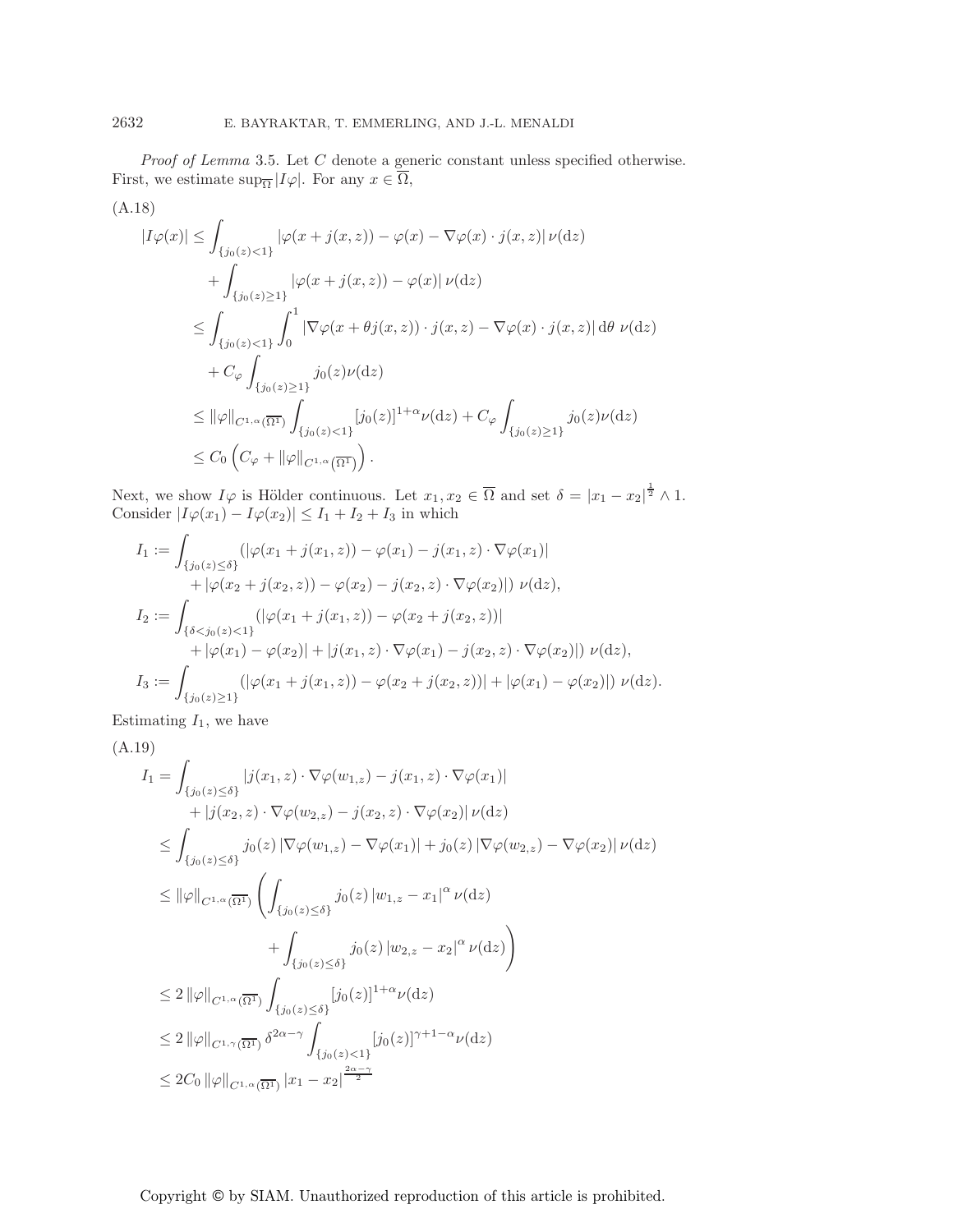*Proof of Lemma* 3.5. Let C denote a generic constant unless specified otherwise. First, we estimate  $\sup_{\overline{\Omega}} |I\varphi|$ . For any  $x \in \overline{\Omega}$ ,

$$
(A.18) \qquad |I\varphi(x)| \leq \int_{\{j_0(z) < 1\}} |\varphi(x + j(x, z)) - \varphi(x) - \nabla \varphi(x) \cdot j(x, z)| \nu(\mathrm{d}z) + \int_{\{j_0(z) \geq 1\}} |\varphi(x + j(x, z)) - \varphi(x)| \nu(\mathrm{d}z) \leq \int_{\{j_0(z) < 1\}} \int_0^1 |\nabla \varphi(x + \theta j(x, z)) \cdot j(x, z) - \nabla \varphi(x) \cdot j(x, z)| \, \mathrm{d}\theta \, \nu(\mathrm{d}z) + C_{\varphi} \int_{\{j_0(z) \geq 1\}} j_0(z) \nu(\mathrm{d}z) \leq ||\varphi||_{C^{1,\alpha}(\overline{\Omega^1})} \int_{\{j_0(z) < 1\}} [j_0(z)]^{1+\alpha} \nu(\mathrm{d}z) + C_{\varphi} \int_{\{j_0(z) \geq 1\}} j_0(z) \nu(\mathrm{d}z) \leq C_0 \left( C_{\varphi} + ||\varphi||_{C^{1,\alpha}(\overline{\Omega^1})} \right).
$$

Next, we show  $I\varphi$  is Hölder continuous. Let  $x_1, x_2 \in \overline{\Omega}$  and set  $\delta = |x_1 - x_2|^{\frac{1}{2}} \wedge 1$ . Consider  $|I\varphi(x_1) - I\varphi(x_2)| \leq I_1 + I_2 + I_3$  in which

$$
I_1 := \int_{\{j_0(z) \leq \delta\}} (|\varphi(x_1 + j(x_1, z)) - \varphi(x_1) - j(x_1, z) \cdot \nabla \varphi(x_1)|
$$
  
+  $|\varphi(x_2 + j(x_2, z)) - \varphi(x_2) - j(x_2, z) \cdot \nabla \varphi(x_2)|) \nu(\mathrm{d}z),$   

$$
I_2 := \int_{\{\delta < j_0(z) < 1\}} (|\varphi(x_1 + j(x_1, z)) - \varphi(x_2 + j(x_2, z))|
$$
  
+  $|\varphi(x_1) - \varphi(x_2)| + |j(x_1, z) \cdot \nabla \varphi(x_1) - j(x_2, z) \cdot \nabla \varphi(x_2)|) \nu(\mathrm{d}z),$   

$$
I_3 := \int_{\{j_0(z) \geq 1\}} (|\varphi(x_1 + j(x_1, z)) - \varphi(x_2 + j(x_2, z))| + |\varphi(x_1) - \varphi(x_2)|) \nu(\mathrm{d}z).
$$

Estimating  $I_1$ , we have

$$
(A.19)
$$
\n
$$
I_{1} = \int_{\{j_{0}(z) \leq \delta\}} |j(x_{1}, z) \cdot \nabla \varphi(w_{1, z}) - j(x_{1}, z) \cdot \nabla \varphi(x_{1})|
$$
\n
$$
+ |j(x_{2}, z) \cdot \nabla \varphi(w_{2, z}) - j(x_{2}, z) \cdot \nabla \varphi(x_{2})| \nu(\mathrm{d}z)
$$
\n
$$
\leq \int_{\{j_{0}(z) \leq \delta\}} j_{0}(z) |\nabla \varphi(w_{1, z}) - \nabla \varphi(x_{1})| + j_{0}(z) |\nabla \varphi(w_{2, z}) - \nabla \varphi(x_{2})| \nu(\mathrm{d}z)
$$
\n
$$
\leq ||\varphi||_{C^{1,\alpha}(\overline{\Omega^{1}})} \left( \int_{\{j_{0}(z) \leq \delta\}} j_{0}(z) |w_{1,z} - x_{1}|^{\alpha} \nu(\mathrm{d}z) + \int_{\{j_{0}(z) \leq \delta\}} j_{0}(z) |w_{2,z} - x_{2}|^{\alpha} \nu(\mathrm{d}z) \right)
$$
\n
$$
\leq 2 ||\varphi||_{C^{1,\alpha}(\overline{\Omega^{1}})} \int_{\{j_{0}(z) \leq \delta\}} [j_{0}(z)]^{1+\alpha} \nu(\mathrm{d}z)
$$
\n
$$
\leq 2 ||\varphi||_{C^{1,\gamma}(\overline{\Omega^{1}})} \delta^{2\alpha-\gamma} \int_{\{j_{0}(z) < 1\}} [j_{0}(z)]^{\gamma+1-\alpha} \nu(\mathrm{d}z)
$$
\n
$$
\leq 2C_{0} ||\varphi||_{C^{1,\alpha}(\overline{\Omega^{1}})} |x_{1} - x_{2}|^{\frac{2\alpha-\gamma}{2}}
$$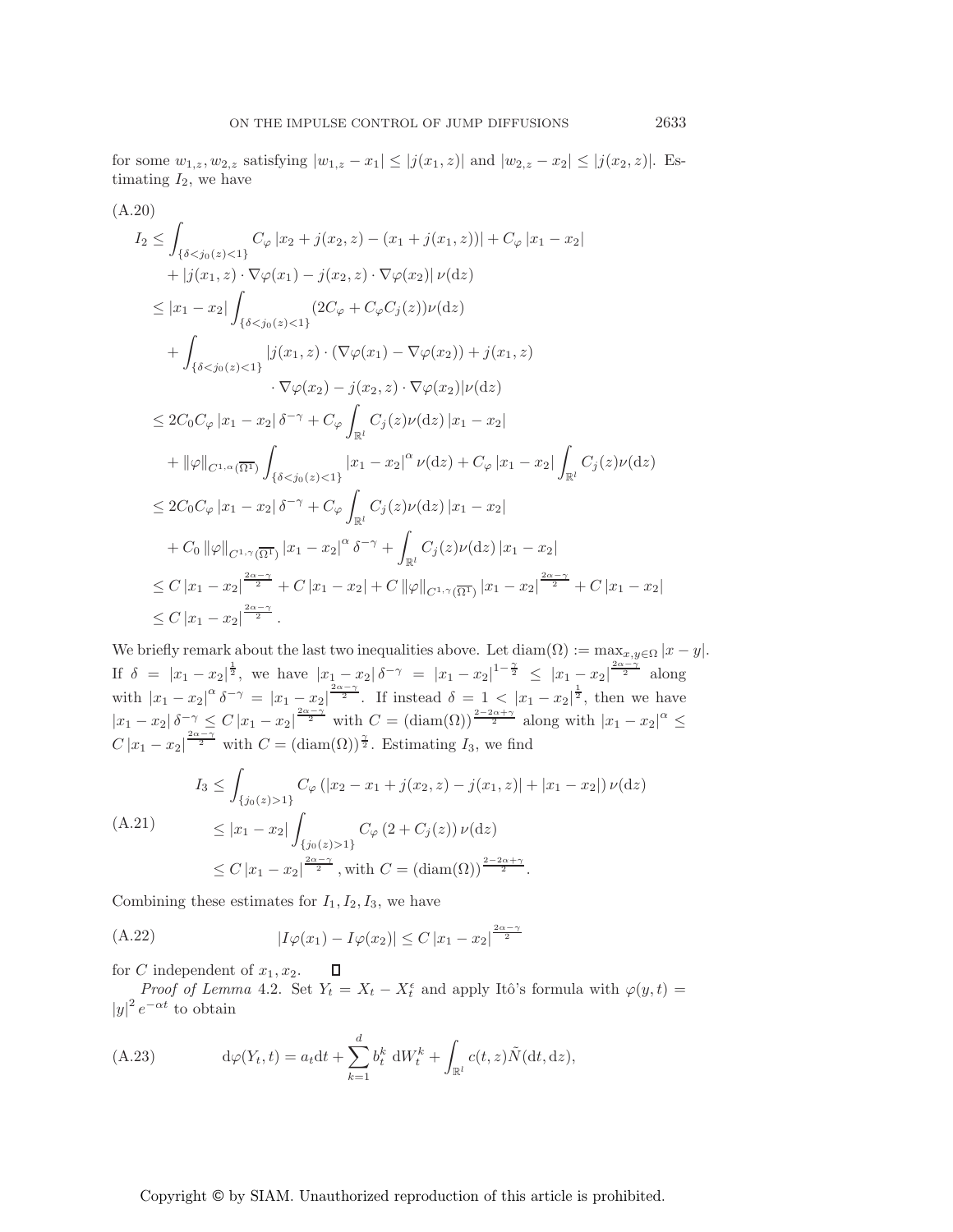for some  $w_{1,z}, w_{2,z}$  satisfying  $|w_{1,z} - x_1| \le |j(x_1,z)|$  and  $|w_{2,z} - x_2| \le |j(x_2,z)|$ . Estimating  $I_2$ , we have

$$
(A.20)
$$
\n
$$
I_{2} \leq \int_{\{\delta < j_{0}(z) < 1\}} C_{\varphi} |x_{2} + j(x_{2}, z) - (x_{1} + j(x_{1}, z))| + C_{\varphi} |x_{1} - x_{2}|
$$
\n
$$
+ |j(x_{1}, z) \cdot \nabla \varphi(x_{1}) - j(x_{2}, z) \cdot \nabla \varphi(x_{2})| \nu(\mathrm{d}z)
$$
\n
$$
\leq |x_{1} - x_{2}| \int_{\{\delta < j_{0}(z) < 1\}} (2C_{\varphi} + C_{\varphi} C_{j}(z)) \nu(\mathrm{d}z)
$$
\n
$$
+ \int_{\{\delta < j_{0}(z) < 1\}} |j(x_{1}, z) \cdot (\nabla \varphi(x_{1}) - \nabla \varphi(x_{2})) + j(x_{1}, z)
$$
\n
$$
\cdot \nabla \varphi(x_{2}) - j(x_{2}, z) \cdot \nabla \varphi(x_{2})| \nu(\mathrm{d}z)
$$
\n
$$
\leq 2C_{0}C_{\varphi} |x_{1} - x_{2}| \delta^{-\gamma} + C_{\varphi} \int_{\mathbb{R}^{l}} C_{j}(z) \nu(\mathrm{d}z) |x_{1} - x_{2}|
$$
\n
$$
+ ||\varphi||_{C^{1,\alpha}(\overline{\Omega^{1}})} \int_{\{\delta < j_{0}(z) < 1\}} |x_{1} - x_{2}|^{\alpha} \nu(\mathrm{d}z) + C_{\varphi} |x_{1} - x_{2}| \int_{\mathbb{R}^{l}} C_{j}(z) \nu(\mathrm{d}z)
$$
\n
$$
\leq 2C_{0}C_{\varphi} |x_{1} - x_{2}| \delta^{-\gamma} + C_{\varphi} \int_{\mathbb{R}^{l}} C_{j}(z) \nu(\mathrm{d}z) |x_{1} - x_{2}|
$$
\n
$$
+ C_{0} ||\varphi||_{C^{1,\gamma}(\overline{\Omega^{1}})} |x_{1} - x_{2}|^{\alpha} \delta^{-\gamma} + \int_{\mathbb{R}^{l}} C_{j}(z) \nu(\mathrm{d}z) |x_{1} - x_{2}|
$$
\n
$$
\leq C |x_{1} - x_{2}|
$$

We briefly remark about the last two inequalities above. Let  $\text{diam}(\Omega) := \max_{x,y \in \Omega} |x - y|$ . If  $\delta = |x_1 - x_2|^{\frac{1}{2}}$ , we have  $|x_1 - x_2| \delta^{-\gamma} = |x_1 - x_2|^{1-\frac{\gamma}{2}} \le |x_1 - x_2|^{\frac{2\alpha - \gamma}{2}}$  along with  $|x_1-x_2|^{\alpha} \delta^{-\gamma} = |x_1-x_2|^{\frac{2\alpha-\gamma}{2}}$ . If instead  $\delta = 1 < |x_1-x_2|^{\frac{1}{2}}$ , then we have  $|x_1-x_2|\delta^{-\gamma} \leq C |x_1-x_2|^{\frac{2\alpha-\gamma}{2}}$  with  $C = (\text{diam}(\Omega))^{\frac{2-2\alpha+\gamma}{2}}$  along with  $|x_1-x_2|^{\alpha} \leq C$  $C |x_1 - x_2|^{\frac{2\alpha - \gamma}{2}}$  with  $C = (\text{diam}(\Omega))^{\frac{\gamma}{2}}$ . Estimating  $I_3$ , we find

$$
I_3 \leq \int_{\{j_0(z) > 1\}} C_{\varphi} \left( |x_2 - x_1 + j(x_2, z) - j(x_1, z)| + |x_1 - x_2| \right) \nu(\mathrm{d}z)
$$
\n
$$
\leq |x_1 - x_2| \int_{\{j_0(z) > 1\}} C_{\varphi} \left( 2 + C_j(z) \right) \nu(\mathrm{d}z)
$$
\n
$$
\leq C |x_1 - x_2| \frac{2\alpha - \gamma}{2}, \text{ with } C = \left( \mathrm{diam}(\Omega) \right)^{\frac{2 - 2\alpha + \gamma}{2}}.
$$

Combining these estimates for  $I_1, I_2, I_3$ , we have

(A.22) 
$$
|I\varphi(x_1) - I\varphi(x_2)| \le C |x_1 - x_2|^{\frac{2\alpha - \gamma}{2}}
$$

for C independent of  $x_1, x_2$ .

*Proof of Lemma* 4.2. Set  $Y_t = X_t - X_t^{\epsilon}$  and apply Itô's formula with  $\varphi(y, t) =$  $|y|^2 e^{-\alpha t}$  to obtain

(A.23) 
$$
d\varphi(Y_t, t) = a_t dt + \sum_{k=1}^d b_t^k dW_t^k + \int_{\mathbb{R}^l} c(t, z) \tilde{N}(dt, dz),
$$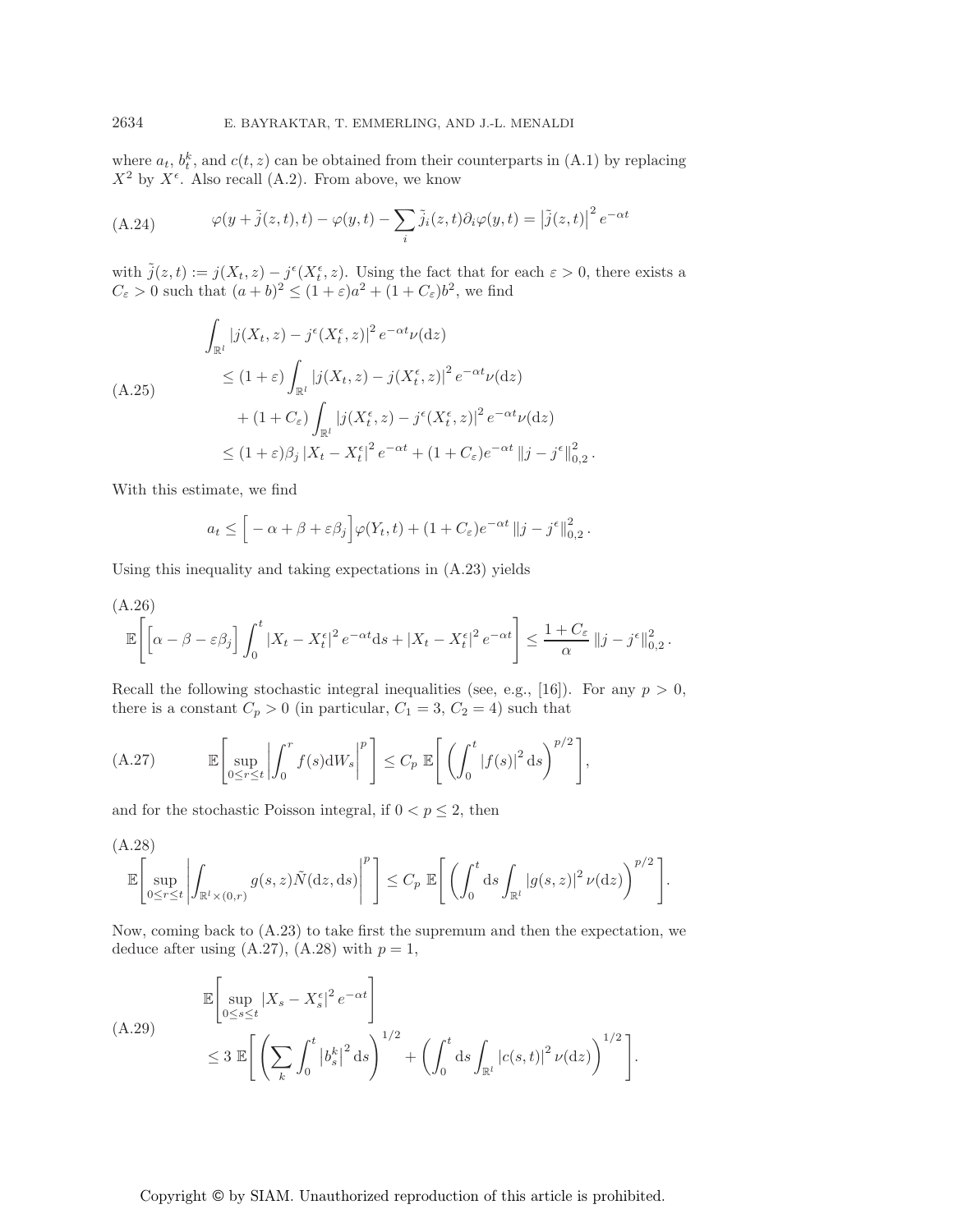where  $a_t$ ,  $b_t^k$ , and  $c(t, z)$  can be obtained from their counterparts in (A.1) by replacing  $X^2$  by  $X^{\epsilon}$ . Also recall (A.2). From above, we know

(A.24) 
$$
\varphi(y+\tilde{j}(z,t),t) - \varphi(y,t) - \sum_{i} \tilde{j}_i(z,t) \partial_i \varphi(y,t) = |\tilde{j}(z,t)|^2 e^{-\alpha t}
$$

with  $\tilde{j}(z,t) := j(X_t, z) - j^{\epsilon}(X_t^{\epsilon}, z)$ . Using the fact that for each  $\varepsilon > 0$ , there exists a  $C_{\varepsilon} > 0$  such that  $(a + b)^2 \le (1 + \varepsilon)a^2 + (1 + C_{\varepsilon})b^2$ , we find

$$
\int_{\mathbb{R}^l} |j(X_t, z) - j^{\epsilon}(X_t^{\epsilon}, z)|^2 e^{-\alpha t} \nu(\mathrm{d}z)
$$
\n
$$
\leq (1 + \varepsilon) \int_{\mathbb{R}^l} |j(X_t, z) - j(X_t^{\epsilon}, z)|^2 e^{-\alpha t} \nu(\mathrm{d}z)
$$
\n
$$
+ (1 + C_{\varepsilon}) \int_{\mathbb{R}^l} |j(X_t^{\epsilon}, z) - j^{\epsilon}(X_t^{\epsilon}, z)|^2 e^{-\alpha t} \nu(\mathrm{d}z)
$$
\n
$$
\leq (1 + \varepsilon)\beta_j |X_t - X_t^{\epsilon}|^2 e^{-\alpha t} + (1 + C_{\varepsilon})e^{-\alpha t} ||j - j^{\epsilon}||_{0,2}^2.
$$

With this estimate, we find

$$
a_t \leq \left[ -\alpha + \beta + \varepsilon \beta_j \right] \varphi(Y_t, t) + (1 + C_{\varepsilon}) e^{-\alpha t} \|j - j^{\varepsilon}\|_{0,2}^2.
$$

Using this inequality and taking expectations in (A.23) yields

(A.26)  
\n
$$
\mathbb{E}\left[\left[\alpha-\beta-\varepsilon\beta_j\right]\int_0^t |X_t-X_t^{\epsilon}|^2 e^{-\alpha t} ds+|X_t-X_t^{\epsilon}|^2 e^{-\alpha t}\right] \leq \frac{1+C_{\varepsilon}}{\alpha}\|j-j^{\epsilon}\|_{0,2}^2.
$$

Recall the following stochastic integral inequalities (see, e.g., [16]). For any  $p > 0$ , there is a constant  $C_p > 0$  (in particular,  $C_1 = 3, C_2 = 4$ ) such that

(A.27) 
$$
\mathbb{E}\left[\sup_{0\leq r\leq t}\left|\int_{0}^{r}f(s)dW_s\right|^{p}\right]\leq C_p \mathbb{E}\left[\left(\int_{0}^{t}|f(s)|^{2}ds\right)^{p/2}\right],
$$

and for the stochastic Poisson integral, if  $0 < p \leq 2$ , then

(A.28)  

$$
\mathbb{E}\left[\sup_{0\leq r\leq t}\left|\int_{\mathbb{R}^l\times(0,r)}g(s,z)\tilde{N}(\mathrm{d} z,\mathrm{d} s)\right|^p\right]\leq C_p \mathbb{E}\left[\left(\int_0^t \mathrm{d} s\int_{\mathbb{R}^l}|g(s,z)|^2\,\nu(\mathrm{d} z)\right)^{p/2}\right].
$$

Now, coming back to (A.23) to take first the supremum and then the expectation, we deduce after using  $(A.27)$ ,  $(A.28)$  with  $p = 1$ ,

$$
\mathbb{E}\left[\sup_{0\leq s\leq t}|X_s-X_s^{\epsilon}|^2e^{-\alpha t}\right]
$$
\n
$$
\leq 3\mathbb{E}\left[\left(\sum_k\int_0^t\left|b_s^k\right|^2\mathrm{d}s\right)^{1/2}+\left(\int_0^t\mathrm{d}s\int_{\mathbb{R}^l}\left|c(s,t)\right|^2\nu(\mathrm{d}z)\right)^{1/2}\right].
$$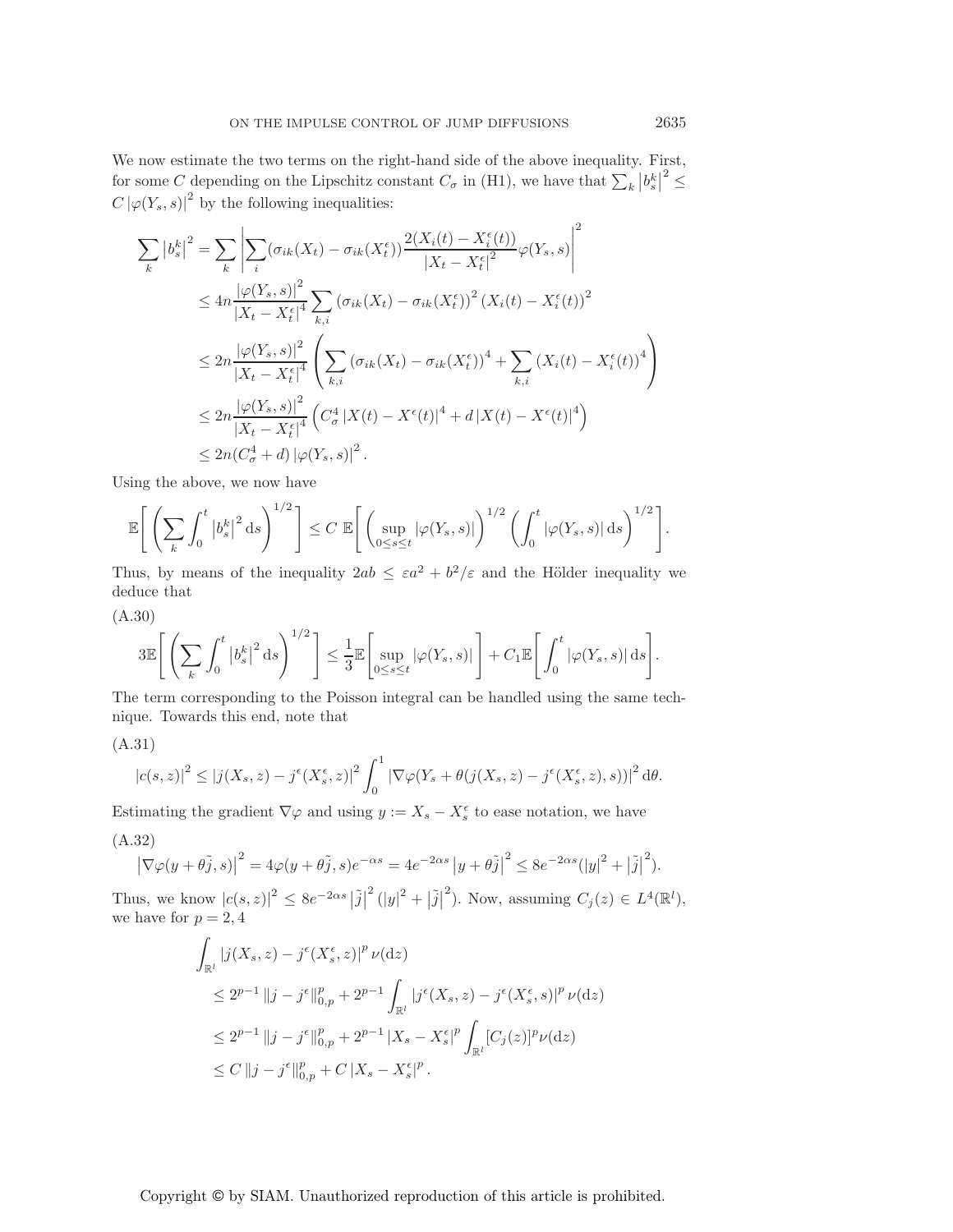We now estimate the two terms on the right-hand side of the above inequality. First, for some C depending on the Lipschitz constant  $C_{\sigma}$  in (H1), we have that  $\sum_{k} |b_{s}^{k}|^{2} \leq$  $C\left|\varphi(Y_s, s)\right|^2$  by the following inequalities:

$$
\sum_{k} |b_{s}^{k}|^{2} = \sum_{k} \left| \sum_{i} (\sigma_{ik}(X_{t}) - \sigma_{ik}(X_{t}^{\epsilon})) \frac{2(X_{i}(t) - X_{i}^{\epsilon}(t))}{|X_{t} - X_{t}^{\epsilon}|^{2}} \varphi(Y_{s}, s) \right|^{2}
$$
\n
$$
\leq 4n \frac{|\varphi(Y_{s}, s)|^{2}}{|X_{t} - X_{t}^{\epsilon}|^{4}} \sum_{k, i} (\sigma_{ik}(X_{t}) - \sigma_{ik}(X_{t}^{\epsilon}))^{2} (X_{i}(t) - X_{i}^{\epsilon}(t))^{2}
$$
\n
$$
\leq 2n \frac{|\varphi(Y_{s}, s)|^{2}}{|X_{t} - X_{t}^{\epsilon}|^{4}} \left( \sum_{k, i} (\sigma_{ik}(X_{t}) - \sigma_{ik}(X_{t}^{\epsilon}))^{4} + \sum_{k, i} (X_{i}(t) - X_{i}^{\epsilon}(t))^{4} \right)
$$
\n
$$
\leq 2n \frac{|\varphi(Y_{s}, s)|^{2}}{|X_{t} - X_{t}^{\epsilon}|^{4}} \left( C_{\sigma}^{4} |X(t) - X^{\epsilon}(t)|^{4} + d |X(t) - X^{\epsilon}(t)|^{4} \right)
$$
\n
$$
\leq 2n(C_{\sigma}^{4} + d) |\varphi(Y_{s}, s)|^{2}.
$$

Using the above, we now have

$$
\mathbb{E}\Bigg[\left(\sum_{k}\int_{0}^{t}\left|b_{s}^{k}\right|^{2}\mathrm{d}s\right)^{1/2}\Bigg]\leq C\mathbb{E}\Bigg[\left(\sup_{0\leq s\leq t}\left|\varphi(Y_{s},s)\right|\right)^{1/2}\left(\int_{0}^{t}\left|\varphi(Y_{s},s)\right|\mathrm{d}s\right)^{1/2}\Bigg].
$$

Thus, by means of the inequality  $2ab \leq \varepsilon a^2 + b^2/\varepsilon$  and the Hölder inequality we deduce that

(A.30)

$$
3\mathbb{E}\Bigg[\left(\sum_{k}\int_{0}^{t}\left|b_{s}^{k}\right|^{2}\mathrm{d}s\right)^{1/2}\Bigg]\leq\frac{1}{3}\mathbb{E}\Bigg[\sup_{0\leq s\leq t}\left|\varphi(Y_{s},s)\right|\Bigg]+C_{1}\mathbb{E}\Bigg[\int_{0}^{t}\left|\varphi(Y_{s},s)\right|\mathrm{d}s\Bigg].
$$

The term corresponding to the Poisson integral can be handled using the same technique. Towards this end, note that

(A.31)

$$
|c(s,z)|^2 \le |j(X_s,z) - j^{\epsilon}(X_s^{\epsilon},z)|^2 \int_0^1 |\nabla \varphi(Y_s + \theta(j(X_s,z) - j^{\epsilon}(X_s^{\epsilon},z),s))|^2 d\theta.
$$

Estimating the gradient  $\nabla \varphi$  and using  $y := X_s - X_s^{\epsilon}$  to ease notation, we have

(A.32)

$$
\left|\nabla\varphi(y+\theta\tilde{j},s)\right|^2 = 4\varphi(y+\theta\tilde{j},s)e^{-\alpha s} = 4e^{-2\alpha s}\left|y+\theta\tilde{j}\right|^2 \le 8e^{-2\alpha s}(\left|y\right|^2 + \left|\tilde{j}\right|^2).
$$

Thus, we know  $|c(s, z)|^2 \leq 8e^{-2\alpha s} |\tilde{j}|$  $2(|y|^2 + |\tilde{j}|)$ <sup>2</sup>). Now, assuming  $C_j(z) \in L^4(\mathbb{R}^l)$ , we have for  $p = 2, 4$ 

$$
\int_{\mathbb{R}^l} |j(X_s, z) - j^{\epsilon}(X_s^{\epsilon}, z)|^p \nu(\mathrm{d}z) \n\leq 2^{p-1} \|j - j^{\epsilon}\|_{0, p}^p + 2^{p-1} \int_{\mathbb{R}^l} |j^{\epsilon}(X_s, z) - j^{\epsilon}(X_s^{\epsilon}, s)|^p \nu(\mathrm{d}z) \n\leq 2^{p-1} \|j - j^{\epsilon}\|_{0, p}^p + 2^{p-1} |X_s - X_s^{\epsilon}|^p \int_{\mathbb{R}^l} [C_j(z)]^p \nu(\mathrm{d}z) \n\leq C \|j - j^{\epsilon}\|_{0, p}^p + C |X_s - X_s^{\epsilon}|^p.
$$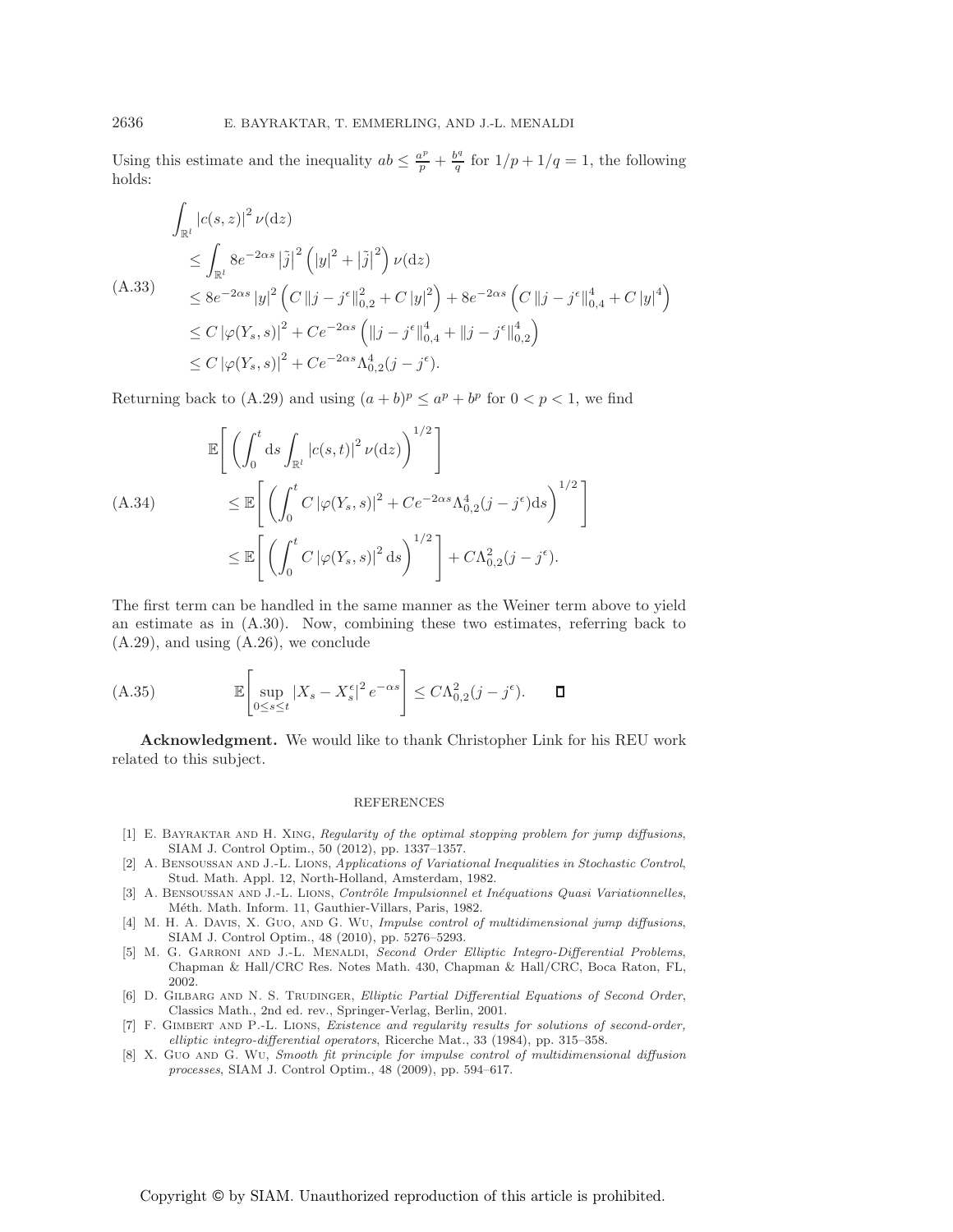Using this estimate and the inequality  $ab \leq \frac{a^p}{p} + \frac{b^q}{q}$  for  $1/p + 1/q = 1$ , the following holds:

$$
\int_{\mathbb{R}^l} |c(s, z)|^2 \nu(\mathrm{d}z)
$$
\n
$$
\leq \int_{\mathbb{R}^l} 8e^{-2\alpha s} |\tilde{j}|^2 (|y|^2 + |\tilde{j}|^2) \nu(\mathrm{d}z)
$$
\n(A.33)\n
$$
\leq 8e^{-2\alpha s} |y|^2 (C ||j - j^{\epsilon}||_{0,2}^2 + C |y|^2) + 8e^{-2\alpha s} (C ||j - j^{\epsilon}||_{0,4}^4 + C |y|^4)
$$
\n
$$
\leq C |\varphi(Y_s, s)|^2 + C e^{-2\alpha s} (||j - j^{\epsilon}||_{0,4}^4 + ||j - j^{\epsilon}||_{0,2}^4)
$$
\n
$$
\leq C |\varphi(Y_s, s)|^2 + C e^{-2\alpha s} \Lambda_{0,2}^4 (j - j^{\epsilon}).
$$

Returning back to (A.29) and using  $(a + b)^p \le a^p + b^p$  for  $0 < p < 1$ , we find

$$
\mathbb{E}\left[\left(\int_0^t ds \int_{\mathbb{R}^l} |c(s,t)|^2 \nu(\mathrm{d}z)\right)^{1/2}\right]
$$
\n(A.34)  
\n
$$
\leq \mathbb{E}\left[\left(\int_0^t C |\varphi(Y_s, s)|^2 + C e^{-2\alpha s} \Lambda_{0,2}^4 (j - j^{\epsilon}) \mathrm{d}s\right)^{1/2}\right]
$$
\n
$$
\leq \mathbb{E}\left[\left(\int_0^t C |\varphi(Y_s, s)|^2 \mathrm{d}s\right)^{1/2}\right] + C \Lambda_{0,2}^2 (j - j^{\epsilon}).
$$

The first term can be handled in the same manner as the Weiner term above to yield an estimate as in (A.30). Now, combining these two estimates, referring back to (A.29), and using (A.26), we conclude

$$
\text{(A.35)} \qquad \mathbb{E}\left[\sup_{0\leq s\leq t}|X_s - X^\epsilon_s|^2 e^{-\alpha s}\right] \leq C\Lambda_{0,2}^2(j-j^\epsilon). \qquad \Box
$$

**Acknowledgment.** We would like to thank Christopher Link for his REU work related to this subject.

#### REFERENCES

- [1] E. BAYRAKTAR AND H. XING, Regularity of the optimal stopping problem for jump diffusions, SIAM J. Control Optim., 50 (2012), pp. 1337–1357.
- [2] A. Bensoussan and J.-L. Lions, Applications of Variational Inequalities in Stochastic Control, Stud. Math. Appl. 12, North-Holland, Amsterdam, 1982.
- [3] A. BENSOUSSAN AND J.-L. LIONS, Contrôle Impulsionnel et Inéquations Quasi Variationnelles, Méth. Math. Inform. 11, Gauthier-Villars, Paris, 1982.
- [4] M. H. A. DAVIS, X. GUO, AND G. WU, Impulse control of multidimensional jump diffusions, SIAM J. Control Optim., 48 (2010), pp. 5276–5293.
- [5] M. G. GARRONI AND J.-L. MENALDI, Second Order Elliptic Integro-Differential Problems, Chapman & Hall/CRC Res. Notes Math. 430, Chapman & Hall/CRC, Boca Raton, FL, 2002.
- [6] D. GILBARG AND N. S. TRUDINGER, Elliptic Partial Differential Equations of Second Order, Classics Math., 2nd ed. rev., Springer-Verlag, Berlin, 2001.
- [7] F. Gimbert and P.-L. Lions, Existence and regularity results for solutions of second-order, elliptic integro-differential operators, Ricerche Mat., 33 (1984), pp. 315–358.
- [8] X. Guo AND G. Wu, Smooth fit principle for impulse control of multidimensional diffusion processes, SIAM J. Control Optim., 48 (2009), pp. 594–617.